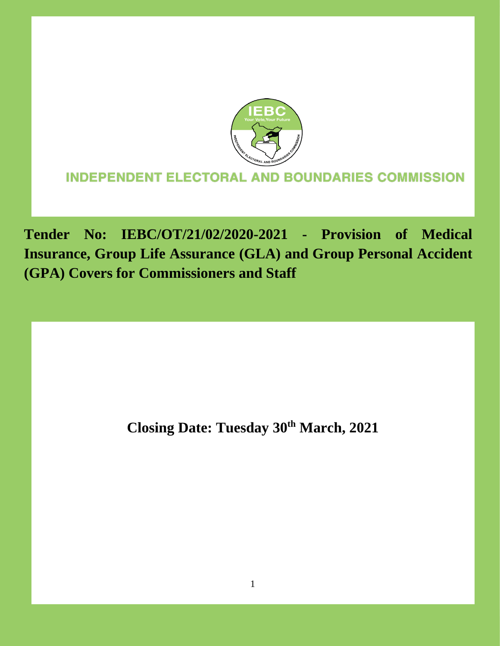

# **INDEPENDENT ELECTORAL AND BOUNDARIES COMMISSION**

**Tender No: IEBC/OT/21/02/2020-2021 - Provision of Medical Insurance, Group Life Assurance (GLA) and Group Personal Accident (GPA) Covers for Commissioners and Staff** 

**Closing Date: Tuesday 30th March, 2021**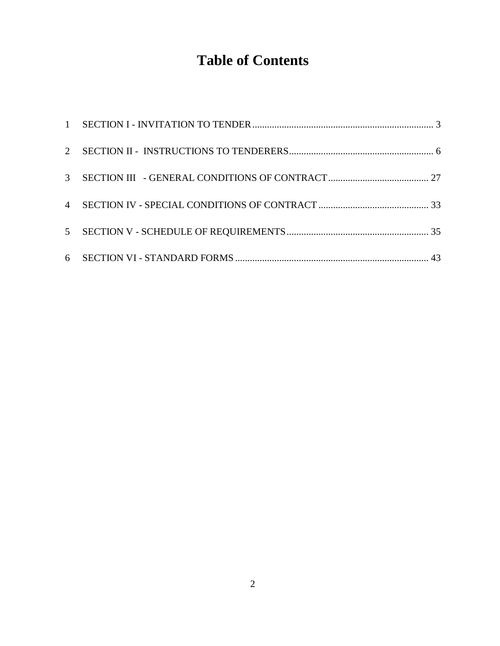# **Table of Contents**

| $\mathcal{E}$  |  |
|----------------|--|
| $\overline{4}$ |  |
|                |  |
|                |  |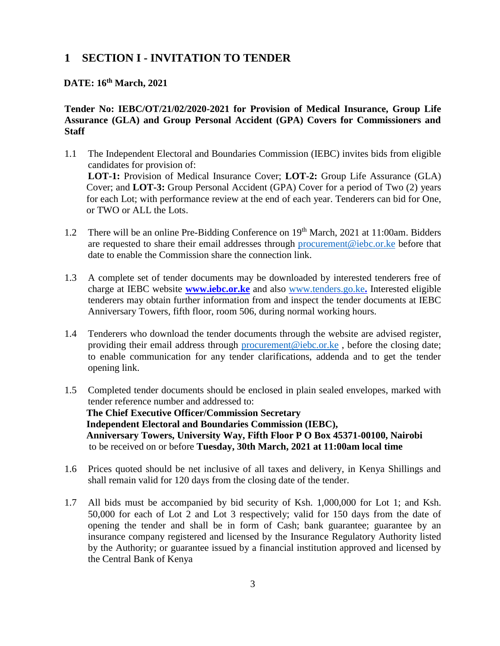# <span id="page-2-0"></span>**1 SECTION I - INVITATION TO TENDER**

#### **DATE: 16th March, 2021**

#### **Tender No: IEBC/OT/21/02/2020-2021 for Provision of Medical Insurance, Group Life Assurance (GLA) and Group Personal Accident (GPA) Covers for Commissioners and Staff**

- 1.1 The Independent Electoral and Boundaries Commission (IEBC) invites bids from eligible candidates for provision of: **LOT-1:** Provision of Medical Insurance Cover; **LOT-2:** Group Life Assurance (GLA) Cover; and **LOT-3:** Group Personal Accident (GPA) Cover for a period of Two (2) years for each Lot; with performance review at the end of each year. Tenderers can bid for One, or TWO or ALL the Lots.
- 1.2 There will be an online Pre-Bidding Conference on 19<sup>th</sup> March, 2021 at 11:00am. Bidders are requested to share their email addresses through [procurement@iebc.or.ke](mailto:procurement@iebc.or.ke) before that date to enable the Commission share the connection link.
- 1.3 A complete set of tender documents may be downloaded by interested tenderers free of charge at IEBC website **[www.iebc.or.ke](http://www.iebc.or.ke/)** and also [www.tenders.go.ke](http://www.tenders.go.ke/)**.** Interested eligible tenderers may obtain further information from and inspect the tender documents at IEBC Anniversary Towers, fifth floor, room 506, during normal working hours.
- 1.4 Tenderers who download the tender documents through the website are advised register, providing their email address through [procurement@iebc.or.ke](mailto:procurement@iebc.or.ke) , before the closing date; to enable communication for any tender clarifications, addenda and to get the tender opening link.
- 1.5 Completed tender documents should be enclosed in plain sealed envelopes, marked with tender reference number and addressed to: **The Chief Executive Officer/Commission Secretary Independent Electoral and Boundaries Commission (IEBC), Anniversary Towers, University Way, Fifth Floor P O Box 45371-00100, Nairobi**  to be received on or before **Tuesday, 30th March, 2021 at 11:00am local time**
- 1.6 Prices quoted should be net inclusive of all taxes and delivery, in Kenya Shillings and shall remain valid for 120 days from the closing date of the tender.
- 1.7 All bids must be accompanied by bid security of Ksh. 1,000,000 for Lot 1; and Ksh. 50,000 for each of Lot 2 and Lot 3 respectively; valid for 150 days from the date of opening the tender and shall be in form of Cash; bank guarantee; guarantee by an insurance company registered and licensed by the Insurance Regulatory Authority listed by the Authority; or guarantee issued by a financial institution approved and licensed by the Central Bank of Kenya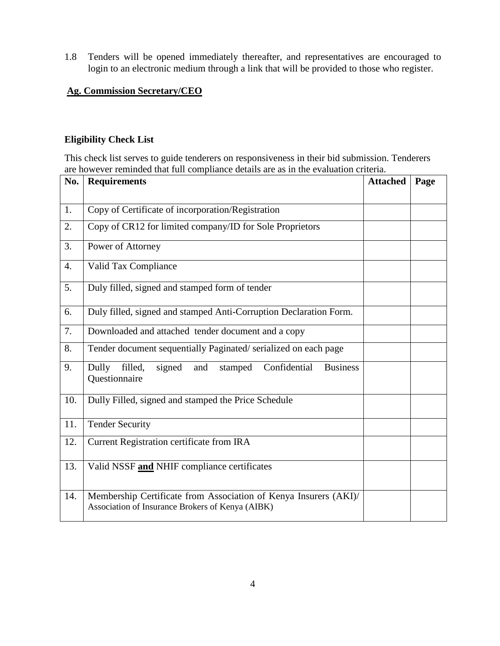1.8 Tenders will be opened immediately thereafter, and representatives are encouraged to login to an electronic medium through a link that will be provided to those who register.

#### **Ag. Commission Secretary/CEO**

#### **Eligibility Check List**

This check list serves to guide tenderers on responsiveness in their bid submission. Tenderers are however reminded that full compliance details are as in the evaluation criteria.

| No.              | <b>Requirements</b>                                                                                                  | <b>Attached</b> | Page |
|------------------|----------------------------------------------------------------------------------------------------------------------|-----------------|------|
|                  |                                                                                                                      |                 |      |
| 1.               | Copy of Certificate of incorporation/Registration                                                                    |                 |      |
| 2.               | Copy of CR12 for limited company/ID for Sole Proprietors                                                             |                 |      |
| 3.               | Power of Attorney                                                                                                    |                 |      |
| $\overline{4}$ . | Valid Tax Compliance                                                                                                 |                 |      |
| 5.               | Duly filled, signed and stamped form of tender                                                                       |                 |      |
| 6.               | Duly filled, signed and stamped Anti-Corruption Declaration Form.                                                    |                 |      |
| 7.               | Downloaded and attached tender document and a copy                                                                   |                 |      |
| 8.               | Tender document sequentially Paginated/serialized on each page                                                       |                 |      |
| 9.               | Dully<br>filled,<br>Confidential<br><b>Business</b><br>signed<br>and<br>stamped<br>Questionnaire                     |                 |      |
| 10.              | Dully Filled, signed and stamped the Price Schedule                                                                  |                 |      |
| 11.              | <b>Tender Security</b>                                                                                               |                 |      |
| 12.              | Current Registration certificate from IRA                                                                            |                 |      |
| 13.              | Valid NSSF and NHIF compliance certificates                                                                          |                 |      |
| 14.              | Membership Certificate from Association of Kenya Insurers (AKI)/<br>Association of Insurance Brokers of Kenya (AIBK) |                 |      |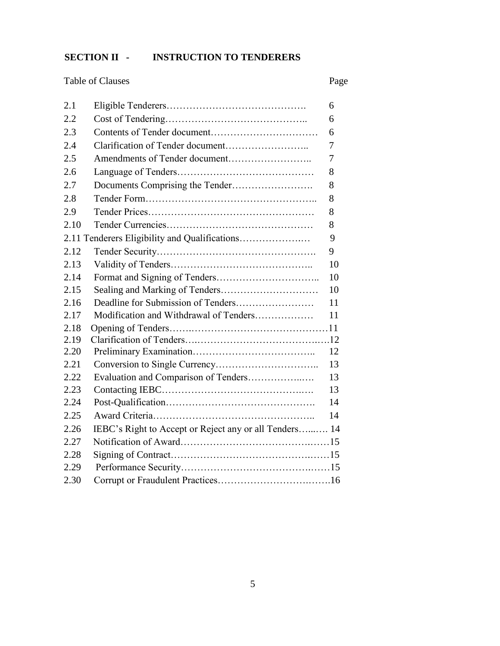# **SECTION II - INSTRUCTION TO TENDERERS**

Table of Clauses Page

| 2.1  |                                                        | 6  |
|------|--------------------------------------------------------|----|
| 2.2  |                                                        | 6  |
| 2.3  |                                                        | 6  |
| 2.4  |                                                        | 7  |
| 2.5  |                                                        | 7  |
| 2.6  |                                                        | 8  |
| 2.7  |                                                        | 8  |
| 2.8  |                                                        | 8  |
| 2.9  |                                                        | 8  |
| 2.10 |                                                        | 8  |
|      |                                                        | 9  |
| 2.12 |                                                        | 9  |
| 2.13 |                                                        | 10 |
| 2.14 |                                                        | 10 |
| 2.15 |                                                        | 10 |
| 2.16 |                                                        | 11 |
| 2.17 | Modification and Withdrawal of Tenders                 | 11 |
| 2.18 |                                                        |    |
| 2.19 |                                                        |    |
| 2.20 |                                                        | 12 |
| 2.21 |                                                        | 13 |
| 2.22 | Evaluation and Comparison of Tenders                   | 13 |
| 2.23 |                                                        | 13 |
| 2.24 |                                                        | 14 |
| 2.25 |                                                        | 14 |
| 2.26 | IEBC's Right to Accept or Reject any or all Tenders 14 |    |
| 2.27 |                                                        |    |
| 2.28 |                                                        |    |
| 2.29 |                                                        |    |
| 2.30 |                                                        |    |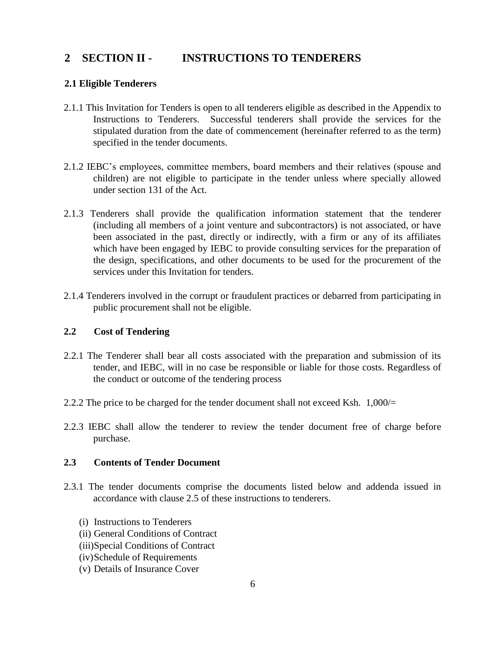# <span id="page-5-0"></span>**2 SECTION II - INSTRUCTIONS TO TENDERERS**

#### **2.1 Eligible Tenderers**

- 2.1.1 This Invitation for Tenders is open to all tenderers eligible as described in the Appendix to Instructions to Tenderers. Successful tenderers shall provide the services for the stipulated duration from the date of commencement (hereinafter referred to as the term) specified in the tender documents.
- 2.1.2 IEBC's employees, committee members, board members and their relatives (spouse and children) are not eligible to participate in the tender unless where specially allowed under section 131 of the Act.
- 2.1.3 Tenderers shall provide the qualification information statement that the tenderer (including all members of a joint venture and subcontractors) is not associated, or have been associated in the past, directly or indirectly, with a firm or any of its affiliates which have been engaged by IEBC to provide consulting services for the preparation of the design, specifications, and other documents to be used for the procurement of the services under this Invitation for tenders.
- 2.1.4 Tenderers involved in the corrupt or fraudulent practices or debarred from participating in public procurement shall not be eligible.

#### **2.2 Cost of Tendering**

- 2.2.1 The Tenderer shall bear all costs associated with the preparation and submission of its tender, and IEBC, will in no case be responsible or liable for those costs. Regardless of the conduct or outcome of the tendering process
- 2.2.2 The price to be charged for the tender document shall not exceed Ksh. 1,000/=
- 2.2.3 IEBC shall allow the tenderer to review the tender document free of charge before purchase.

#### **2.3 Contents of Tender Document**

- 2.3.1 The tender documents comprise the documents listed below and addenda issued in accordance with clause 2.5 of these instructions to tenderers.
	- (i) Instructions to Tenderers
	- (ii) General Conditions of Contract
	- (iii)Special Conditions of Contract
	- (iv)Schedule of Requirements
	- (v) Details of Insurance Cover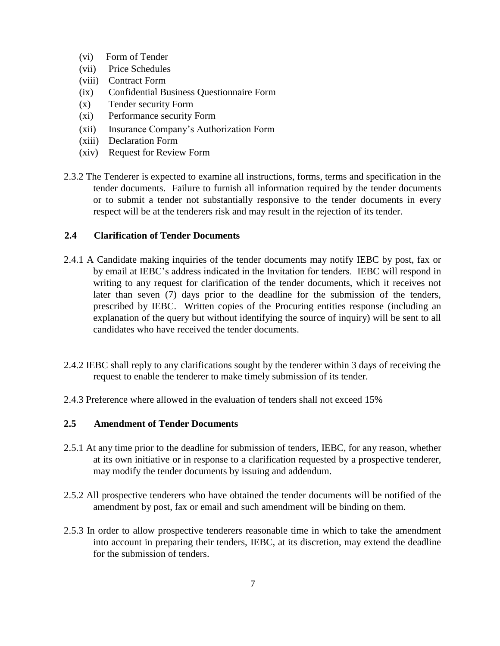- (vi) Form of Tender
- (vii) Price Schedules
- (viii) Contract Form
- (ix) Confidential Business Questionnaire Form
- (x) Tender security Form
- (xi) Performance security Form
- (xii) Insurance Company's Authorization Form
- (xiii) Declaration Form
- (xiv) Request for Review Form
- 2.3.2 The Tenderer is expected to examine all instructions, forms, terms and specification in the tender documents. Failure to furnish all information required by the tender documents or to submit a tender not substantially responsive to the tender documents in every respect will be at the tenderers risk and may result in the rejection of its tender.

#### **2.4 Clarification of Tender Documents**

- 2.4.1 A Candidate making inquiries of the tender documents may notify IEBC by post, fax or by email at IEBC's address indicated in the Invitation for tenders. IEBC will respond in writing to any request for clarification of the tender documents, which it receives not later than seven (7) days prior to the deadline for the submission of the tenders, prescribed by IEBC. Written copies of the Procuring entities response (including an explanation of the query but without identifying the source of inquiry) will be sent to all candidates who have received the tender documents.
- 2.4.2 IEBC shall reply to any clarifications sought by the tenderer within 3 days of receiving the request to enable the tenderer to make timely submission of its tender.
- 2.4.3 Preference where allowed in the evaluation of tenders shall not exceed 15%

#### **2.5 Amendment of Tender Documents**

- 2.5.1 At any time prior to the deadline for submission of tenders, IEBC, for any reason, whether at its own initiative or in response to a clarification requested by a prospective tenderer, may modify the tender documents by issuing and addendum.
- 2.5.2 All prospective tenderers who have obtained the tender documents will be notified of the amendment by post, fax or email and such amendment will be binding on them.
- 2.5.3 In order to allow prospective tenderers reasonable time in which to take the amendment into account in preparing their tenders, IEBC, at its discretion, may extend the deadline for the submission of tenders.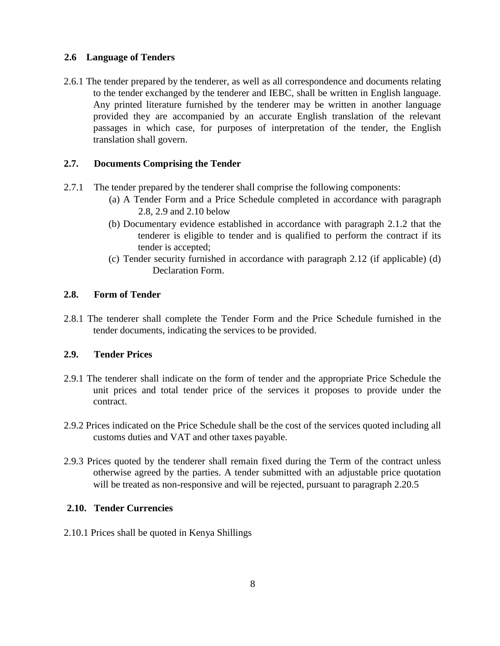#### **2.6 Language of Tenders**

2.6.1 The tender prepared by the tenderer, as well as all correspondence and documents relating to the tender exchanged by the tenderer and IEBC, shall be written in English language. Any printed literature furnished by the tenderer may be written in another language provided they are accompanied by an accurate English translation of the relevant passages in which case, for purposes of interpretation of the tender, the English translation shall govern.

#### **2.7. Documents Comprising the Tender**

- 2.7.1 The tender prepared by the tenderer shall comprise the following components:
	- (a) A Tender Form and a Price Schedule completed in accordance with paragraph 2.8, 2.9 and 2.10 below
	- (b) Documentary evidence established in accordance with paragraph 2.1.2 that the tenderer is eligible to tender and is qualified to perform the contract if its tender is accepted;
	- (c) Tender security furnished in accordance with paragraph 2.12 (if applicable) (d) Declaration Form.

#### **2.8. Form of Tender**

2.8.1 The tenderer shall complete the Tender Form and the Price Schedule furnished in the tender documents, indicating the services to be provided.

#### **2.9. Tender Prices**

- 2.9.1 The tenderer shall indicate on the form of tender and the appropriate Price Schedule the unit prices and total tender price of the services it proposes to provide under the contract.
- 2.9.2 Prices indicated on the Price Schedule shall be the cost of the services quoted including all customs duties and VAT and other taxes payable.
- 2.9.3 Prices quoted by the tenderer shall remain fixed during the Term of the contract unless otherwise agreed by the parties. A tender submitted with an adjustable price quotation will be treated as non-responsive and will be rejected, pursuant to paragraph 2.20.5

#### **2.10. Tender Currencies**

2.10.1 Prices shall be quoted in Kenya Shillings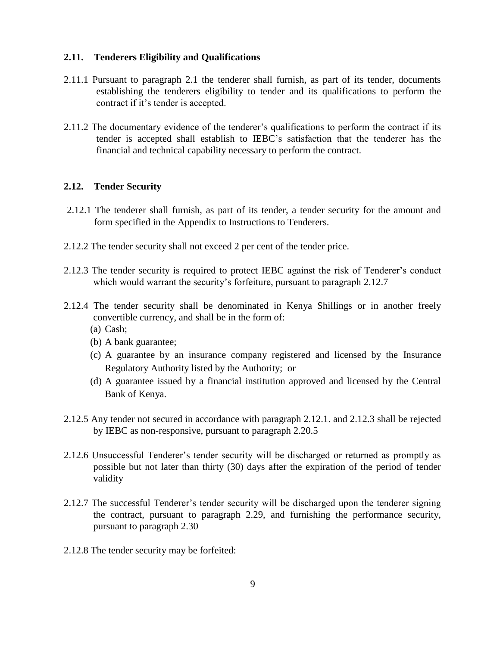#### **2.11. Tenderers Eligibility and Qualifications**

- 2.11.1 Pursuant to paragraph 2.1 the tenderer shall furnish, as part of its tender, documents establishing the tenderers eligibility to tender and its qualifications to perform the contract if it's tender is accepted.
- 2.11.2 The documentary evidence of the tenderer's qualifications to perform the contract if its tender is accepted shall establish to IEBC's satisfaction that the tenderer has the financial and technical capability necessary to perform the contract.

#### **2.12. Tender Security**

- 2.12.1 The tenderer shall furnish, as part of its tender, a tender security for the amount and form specified in the Appendix to Instructions to Tenderers.
- 2.12.2 The tender security shall not exceed 2 per cent of the tender price.
- 2.12.3 The tender security is required to protect IEBC against the risk of Tenderer's conduct which would warrant the security's forfeiture, pursuant to paragraph 2.12.7
- 2.12.4 The tender security shall be denominated in Kenya Shillings or in another freely convertible currency, and shall be in the form of:
	- (a) Cash;
	- (b) A bank guarantee;
	- (c) A guarantee by an insurance company registered and licensed by the Insurance Regulatory Authority listed by the Authority; or
	- (d) A guarantee issued by a financial institution approved and licensed by the Central Bank of Kenya.
- 2.12.5 Any tender not secured in accordance with paragraph 2.12.1. and 2.12.3 shall be rejected by IEBC as non-responsive, pursuant to paragraph 2.20.5
- 2.12.6 Unsuccessful Tenderer's tender security will be discharged or returned as promptly as possible but not later than thirty (30) days after the expiration of the period of tender validity
- 2.12.7 The successful Tenderer's tender security will be discharged upon the tenderer signing the contract, pursuant to paragraph 2.29, and furnishing the performance security, pursuant to paragraph 2.30
- 2.12.8 The tender security may be forfeited: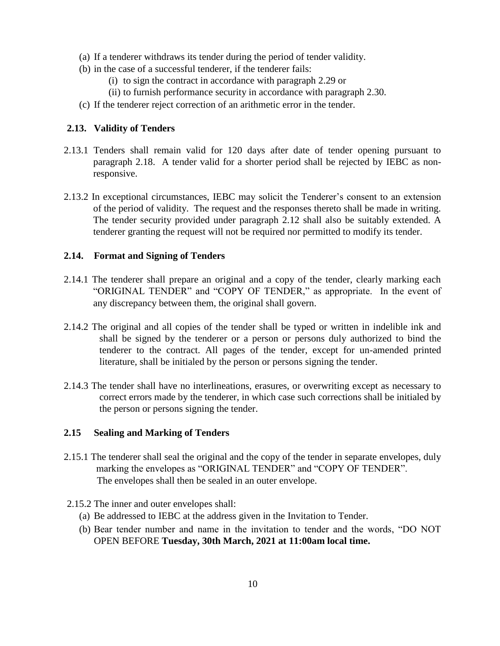- (a) If a tenderer withdraws its tender during the period of tender validity.
- (b) in the case of a successful tenderer, if the tenderer fails:
	- (i) to sign the contract in accordance with paragraph 2.29 or
	- (ii) to furnish performance security in accordance with paragraph 2.30.
- (c) If the tenderer reject correction of an arithmetic error in the tender.

#### **2.13. Validity of Tenders**

- 2.13.1 Tenders shall remain valid for 120 days after date of tender opening pursuant to paragraph 2.18. A tender valid for a shorter period shall be rejected by IEBC as nonresponsive.
- 2.13.2 In exceptional circumstances, IEBC may solicit the Tenderer's consent to an extension of the period of validity. The request and the responses thereto shall be made in writing. The tender security provided under paragraph 2.12 shall also be suitably extended. A tenderer granting the request will not be required nor permitted to modify its tender.

#### **2.14. Format and Signing of Tenders**

- 2.14.1 The tenderer shall prepare an original and a copy of the tender, clearly marking each "ORIGINAL TENDER" and "COPY OF TENDER," as appropriate. In the event of any discrepancy between them, the original shall govern.
- 2.14.2 The original and all copies of the tender shall be typed or written in indelible ink and shall be signed by the tenderer or a person or persons duly authorized to bind the tenderer to the contract. All pages of the tender, except for un-amended printed literature, shall be initialed by the person or persons signing the tender.
- 2.14.3 The tender shall have no interlineations, erasures, or overwriting except as necessary to correct errors made by the tenderer, in which case such corrections shall be initialed by the person or persons signing the tender.

#### **2.15 Sealing and Marking of Tenders**

- 2.15.1 The tenderer shall seal the original and the copy of the tender in separate envelopes, duly marking the envelopes as "ORIGINAL TENDER" and "COPY OF TENDER". The envelopes shall then be sealed in an outer envelope.
- 2.15.2 The inner and outer envelopes shall:
	- (a) Be addressed to IEBC at the address given in the Invitation to Tender.
	- (b) Bear tender number and name in the invitation to tender and the words, "DO NOT OPEN BEFORE **Tuesday, 30th March, 2021 at 11:00am local time.**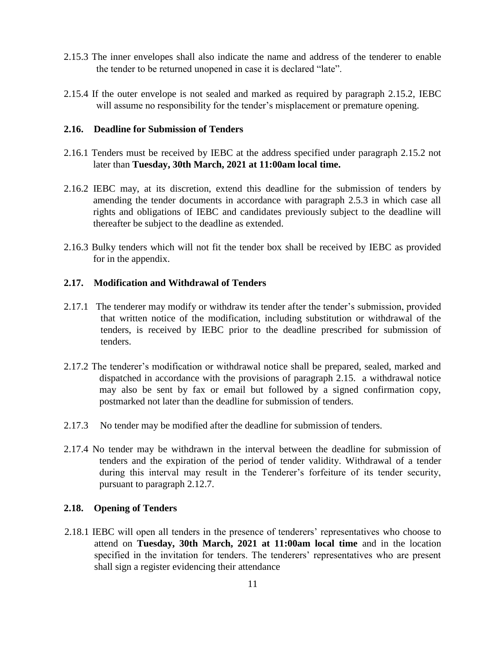- 2.15.3 The inner envelopes shall also indicate the name and address of the tenderer to enable the tender to be returned unopened in case it is declared "late".
- 2.15.4 If the outer envelope is not sealed and marked as required by paragraph 2.15.2, IEBC will assume no responsibility for the tender's misplacement or premature opening.

#### **2.16. Deadline for Submission of Tenders**

- 2.16.1 Tenders must be received by IEBC at the address specified under paragraph 2.15.2 not later than **Tuesday, 30th March, 2021 at 11:00am local time.**
- 2.16.2 IEBC may, at its discretion, extend this deadline for the submission of tenders by amending the tender documents in accordance with paragraph 2.5.3 in which case all rights and obligations of IEBC and candidates previously subject to the deadline will thereafter be subject to the deadline as extended.
- 2.16.3 Bulky tenders which will not fit the tender box shall be received by IEBC as provided for in the appendix.

#### **2.17. Modification and Withdrawal of Tenders**

- 2.17.1 The tenderer may modify or withdraw its tender after the tender's submission, provided that written notice of the modification, including substitution or withdrawal of the tenders, is received by IEBC prior to the deadline prescribed for submission of tenders.
- 2.17.2 The tenderer's modification or withdrawal notice shall be prepared, sealed, marked and dispatched in accordance with the provisions of paragraph 2.15. a withdrawal notice may also be sent by fax or email but followed by a signed confirmation copy, postmarked not later than the deadline for submission of tenders.
- 2.17.3 No tender may be modified after the deadline for submission of tenders.
- 2.17.4 No tender may be withdrawn in the interval between the deadline for submission of tenders and the expiration of the period of tender validity. Withdrawal of a tender during this interval may result in the Tenderer's forfeiture of its tender security, pursuant to paragraph 2.12.7.

#### **2.18. Opening of Tenders**

2.18.1 IEBC will open all tenders in the presence of tenderers' representatives who choose to attend on **Tuesday, 30th March, 2021 at 11:00am local time** and in the location specified in the invitation for tenders. The tenderers' representatives who are present shall sign a register evidencing their attendance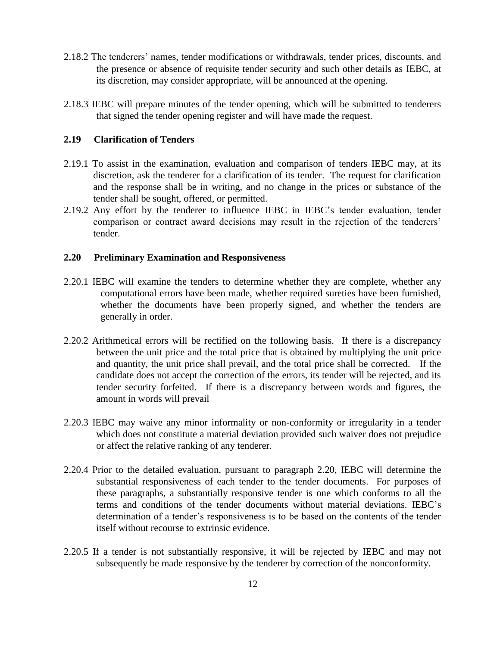- 2.18.2 The tenderers' names, tender modifications or withdrawals, tender prices, discounts, and the presence or absence of requisite tender security and such other details as IEBC, at its discretion, may consider appropriate, will be announced at the opening.
- 2.18.3 IEBC will prepare minutes of the tender opening, which will be submitted to tenderers that signed the tender opening register and will have made the request.

#### **2.19 Clarification of Tenders**

- 2.19.1 To assist in the examination, evaluation and comparison of tenders IEBC may, at its discretion, ask the tenderer for a clarification of its tender. The request for clarification and the response shall be in writing, and no change in the prices or substance of the tender shall be sought, offered, or permitted.
- 2.19.2 Any effort by the tenderer to influence IEBC in IEBC's tender evaluation, tender comparison or contract award decisions may result in the rejection of the tenderers' tender.

#### **2.20 Preliminary Examination and Responsiveness**

- 2.20.1 IEBC will examine the tenders to determine whether they are complete, whether any computational errors have been made, whether required sureties have been furnished, whether the documents have been properly signed, and whether the tenders are generally in order.
- 2.20.2 Arithmetical errors will be rectified on the following basis. If there is a discrepancy between the unit price and the total price that is obtained by multiplying the unit price and quantity, the unit price shall prevail, and the total price shall be corrected. If the candidate does not accept the correction of the errors, its tender will be rejected, and its tender security forfeited. If there is a discrepancy between words and figures, the amount in words will prevail
- 2.20.3 IEBC may waive any minor informality or non-conformity or irregularity in a tender which does not constitute a material deviation provided such waiver does not prejudice or affect the relative ranking of any tenderer.
- 2.20.4 Prior to the detailed evaluation, pursuant to paragraph 2.20, IEBC will determine the substantial responsiveness of each tender to the tender documents. For purposes of these paragraphs, a substantially responsive tender is one which conforms to all the terms and conditions of the tender documents without material deviations. IEBC's determination of a tender's responsiveness is to be based on the contents of the tender itself without recourse to extrinsic evidence.
- 2.20.5 If a tender is not substantially responsive, it will be rejected by IEBC and may not subsequently be made responsive by the tenderer by correction of the nonconformity.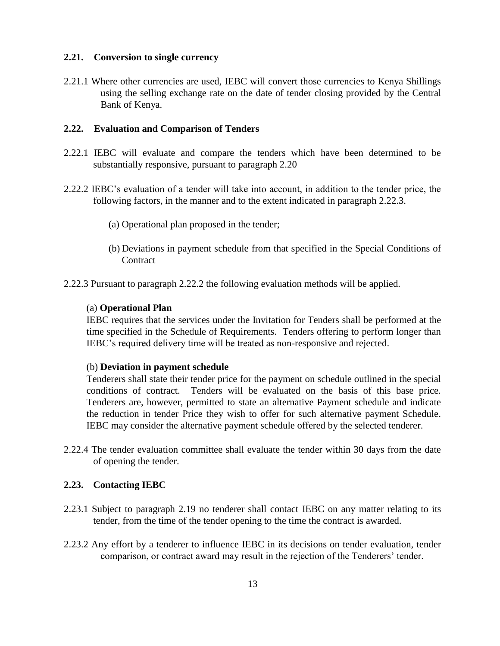#### **2.21. Conversion to single currency**

2.21.1 Where other currencies are used, IEBC will convert those currencies to Kenya Shillings using the selling exchange rate on the date of tender closing provided by the Central Bank of Kenya.

#### **2.22. Evaluation and Comparison of Tenders**

- 2.22.1 IEBC will evaluate and compare the tenders which have been determined to be substantially responsive, pursuant to paragraph 2.20
- 2.22.2 IEBC's evaluation of a tender will take into account, in addition to the tender price, the following factors, in the manner and to the extent indicated in paragraph 2.22.3.
	- (a) Operational plan proposed in the tender;
	- (b) Deviations in payment schedule from that specified in the Special Conditions of **Contract**
- 2.22.3 Pursuant to paragraph 2.22.2 the following evaluation methods will be applied.

#### (a) **Operational Plan**

IEBC requires that the services under the Invitation for Tenders shall be performed at the time specified in the Schedule of Requirements. Tenders offering to perform longer than IEBC's required delivery time will be treated as non-responsive and rejected.

#### (b) **Deviation in payment schedule**

Tenderers shall state their tender price for the payment on schedule outlined in the special conditions of contract. Tenders will be evaluated on the basis of this base price. Tenderers are, however, permitted to state an alternative Payment schedule and indicate the reduction in tender Price they wish to offer for such alternative payment Schedule. IEBC may consider the alternative payment schedule offered by the selected tenderer.

2.22.4 The tender evaluation committee shall evaluate the tender within 30 days from the date of opening the tender.

#### **2.23. Contacting IEBC**

- 2.23.1 Subject to paragraph 2.19 no tenderer shall contact IEBC on any matter relating to its tender, from the time of the tender opening to the time the contract is awarded.
- 2.23.2 Any effort by a tenderer to influence IEBC in its decisions on tender evaluation, tender comparison, or contract award may result in the rejection of the Tenderers' tender.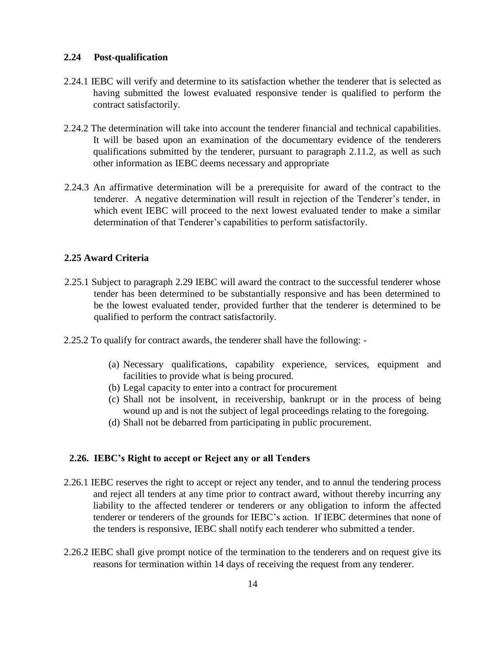#### **2.24 Post-qualification**

- 2.24.1 IEBC will verify and determine to its satisfaction whether the tenderer that is selected as having submitted the lowest evaluated responsive tender is qualified to perform the contract satisfactorily.
- 2.24.2 The determination will take into account the tenderer financial and technical capabilities. It will be based upon an examination of the documentary evidence of the tenderers qualifications submitted by the tenderer, pursuant to paragraph 2.11.2, as well as such other information as IEBC deems necessary and appropriate
- 2.24.3 An affirmative determination will be a prerequisite for award of the contract to the tenderer. A negative determination will result in rejection of the Tenderer's tender, in which event IEBC will proceed to the next lowest evaluated tender to make a similar determination of that Tenderer's capabilities to perform satisfactorily.

#### **2.25 Award Criteria**

- 2.25.1 Subject to paragraph 2.29 IEBC will award the contract to the successful tenderer whose tender has been determined to be substantially responsive and has been determined to be the lowest evaluated tender, provided further that the tenderer is determined to be qualified to perform the contract satisfactorily.
- 2.25.2 To qualify for contract awards, the tenderer shall have the following:
	- (a) Necessary qualifications, capability experience, services, equipment and facilities to provide what is being procured.
	- (b) Legal capacity to enter into a contract for procurement
	- (c) Shall not be insolvent, in receivership, bankrupt or in the process of being wound up and is not the subject of legal proceedings relating to the foregoing.
	- (d) Shall not be debarred from participating in public procurement.

#### **2.26. IEBC's Right to accept or Reject any or all Tenders**

- 2.26.1 IEBC reserves the right to accept or reject any tender, and to annul the tendering process and reject all tenders at any time prior to contract award, without thereby incurring any liability to the affected tenderer or tenderers or any obligation to inform the affected tenderer or tenderers of the grounds for IEBC's action. If IEBC determines that none of the tenders is responsive, IEBC shall notify each tenderer who submitted a tender.
- 2.26.2 IEBC shall give prompt notice of the termination to the tenderers and on request give its reasons for termination within 14 days of receiving the request from any tenderer.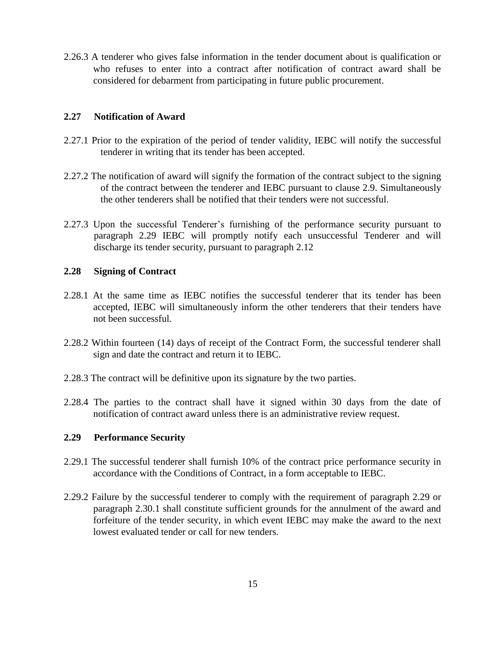2.26.3 A tenderer who gives false information in the tender document about is qualification or who refuses to enter into a contract after notification of contract award shall be considered for debarment from participating in future public procurement.

#### **2.27 Notification of Award**

- 2.27.1 Prior to the expiration of the period of tender validity, IEBC will notify the successful tenderer in writing that its tender has been accepted.
- 2.27.2 The notification of award will signify the formation of the contract subject to the signing of the contract between the tenderer and IEBC pursuant to clause 2.9. Simultaneously the other tenderers shall be notified that their tenders were not successful.
- 2.27.3 Upon the successful Tenderer's furnishing of the performance security pursuant to paragraph 2.29 IEBC will promptly notify each unsuccessful Tenderer and will discharge its tender security, pursuant to paragraph 2.12

#### **2.28 Signing of Contract**

- 2.28.1 At the same time as IEBC notifies the successful tenderer that its tender has been accepted, IEBC will simultaneously inform the other tenderers that their tenders have not been successful.
- 2.28.2 Within fourteen (14) days of receipt of the Contract Form, the successful tenderer shall sign and date the contract and return it to IEBC.
- 2.28.3 The contract will be definitive upon its signature by the two parties.
- 2.28.4 The parties to the contract shall have it signed within 30 days from the date of notification of contract award unless there is an administrative review request.

#### **2.29 Performance Security**

- 2.29.1 The successful tenderer shall furnish 10% of the contract price performance security in accordance with the Conditions of Contract, in a form acceptable to IEBC.
- 2.29.2 Failure by the successful tenderer to comply with the requirement of paragraph 2.29 or paragraph 2.30.1 shall constitute sufficient grounds for the annulment of the award and forfeiture of the tender security, in which event IEBC may make the award to the next lowest evaluated tender or call for new tenders.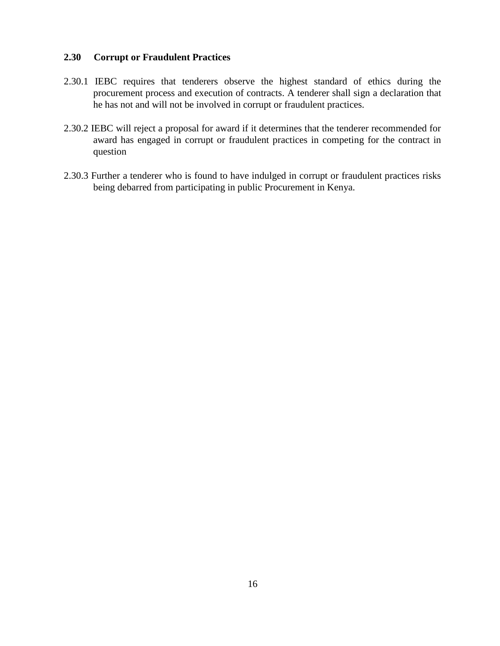#### **2.30 Corrupt or Fraudulent Practices**

- 2.30.1 IEBC requires that tenderers observe the highest standard of ethics during the procurement process and execution of contracts. A tenderer shall sign a declaration that he has not and will not be involved in corrupt or fraudulent practices.
- 2.30.2 IEBC will reject a proposal for award if it determines that the tenderer recommended for award has engaged in corrupt or fraudulent practices in competing for the contract in question
- 2.30.3 Further a tenderer who is found to have indulged in corrupt or fraudulent practices risks being debarred from participating in public Procurement in Kenya.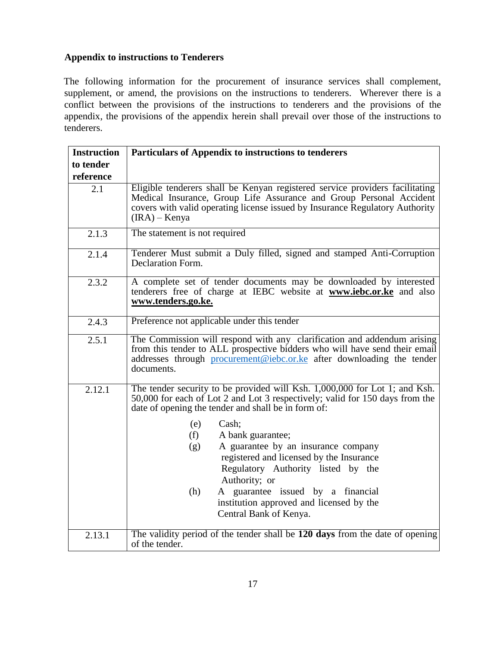#### **Appendix to instructions to Tenderers**

The following information for the procurement of insurance services shall complement, supplement, or amend, the provisions on the instructions to tenderers. Wherever there is a conflict between the provisions of the instructions to tenderers and the provisions of the appendix, the provisions of the appendix herein shall prevail over those of the instructions to tenderers.

| <b>Instruction</b> | Particulars of Appendix to instructions to tenderers                                                                                                                                                                                                                              |  |  |
|--------------------|-----------------------------------------------------------------------------------------------------------------------------------------------------------------------------------------------------------------------------------------------------------------------------------|--|--|
| to tender          |                                                                                                                                                                                                                                                                                   |  |  |
| reference          |                                                                                                                                                                                                                                                                                   |  |  |
| 2.1                | Eligible tenderers shall be Kenyan registered service providers facilitating<br>Medical Insurance, Group Life Assurance and Group Personal Accident<br>covers with valid operating license issued by Insurance Regulatory Authority<br>$(IRA) - Kenya$                            |  |  |
| 2.1.3              | The statement is not required                                                                                                                                                                                                                                                     |  |  |
| 2.1.4              | Tenderer Must submit a Duly filled, signed and stamped Anti-Corruption<br>Declaration Form.                                                                                                                                                                                       |  |  |
| 2.3.2              | A complete set of tender documents may be downloaded by interested<br>tenderers free of charge at IEBC website at <b>www.iebc.or.ke</b> and also<br>www.tenders.go.ke.                                                                                                            |  |  |
| 2.4.3              | Preference not applicable under this tender                                                                                                                                                                                                                                       |  |  |
| 2.5.1              | The Commission will respond with any clarification and addendum arising<br>from this tender to ALL prospective bidders who will have send their email<br>addresses through procurement@iebc.or.ke after downloading the tender<br>documents.                                      |  |  |
| 2.12.1             | The tender security to be provided will Ksh. 1,000,000 for Lot 1; and Ksh.<br>50,000 for each of Lot 2 and Lot 3 respectively; valid for 150 days from the<br>date of opening the tender and shall be in form of:                                                                 |  |  |
|                    | Cash;<br>(e)<br>(f)<br>A bank guarantee;<br>A guarantee by an insurance company<br>(g)<br>registered and licensed by the Insurance<br>Regulatory Authority listed by the<br>Authority; or<br>(h)<br>A guarantee issued by a financial<br>institution approved and licensed by the |  |  |
|                    | Central Bank of Kenya.                                                                                                                                                                                                                                                            |  |  |
| 2.13.1             | The validity period of the tender shall be 120 days from the date of opening<br>of the tender.                                                                                                                                                                                    |  |  |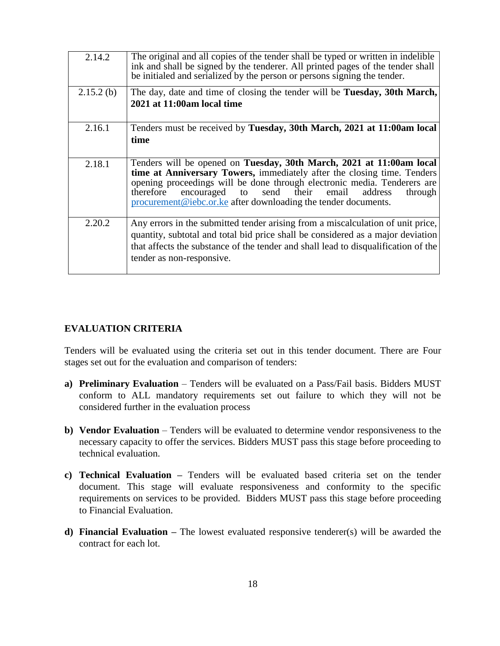| 2.14.2       | The original and all copies of the tender shall be typed or written in indelible<br>ink and shall be signed by the tenderer. All printed pages of the tender shall<br>be initialed and serialized by the person or persons signing the tender.                                                                                                                              |
|--------------|-----------------------------------------------------------------------------------------------------------------------------------------------------------------------------------------------------------------------------------------------------------------------------------------------------------------------------------------------------------------------------|
| $2.15.2$ (b) | The day, date and time of closing the tender will be Tuesday, 30th March,<br>2021 at 11:00am local time                                                                                                                                                                                                                                                                     |
| 2.16.1       | Tenders must be received by Tuesday, 30th March, 2021 at 11:00am local<br>time                                                                                                                                                                                                                                                                                              |
| 2.18.1       | Tenders will be opened on Tuesday, 30th March, 2021 at 11:00am local<br>time at Anniversary Towers, immediately after the closing time. Tenders<br>opening proceedings will be done through electronic media. Tenderers are<br>send their<br>encouraged<br>email<br>therefore<br>address<br>to<br>through<br>procurement@iebc.or.ke after downloading the tender documents. |
| 2.20.2       | Any errors in the submitted tender arising from a miscalculation of unit price,<br>quantity, subtotal and total bid price shall be considered as a major deviation<br>that affects the substance of the tender and shall lead to disqualification of the<br>tender as non-responsive.                                                                                       |

#### **EVALUATION CRITERIA**

Tenders will be evaluated using the criteria set out in this tender document. There are Four stages set out for the evaluation and comparison of tenders:

- **a) Preliminary Evaluation** Tenders will be evaluated on a Pass/Fail basis. Bidders MUST conform to ALL mandatory requirements set out failure to which they will not be considered further in the evaluation process
- **b) Vendor Evaluation** Tenders will be evaluated to determine vendor responsiveness to the necessary capacity to offer the services. Bidders MUST pass this stage before proceeding to technical evaluation.
- **c) Technical Evaluation –** Tenders will be evaluated based criteria set on the tender document. This stage will evaluate responsiveness and conformity to the specific requirements on services to be provided. Bidders MUST pass this stage before proceeding to Financial Evaluation.
- **d) Financial Evaluation –** The lowest evaluated responsive tenderer(s) will be awarded the contract for each lot.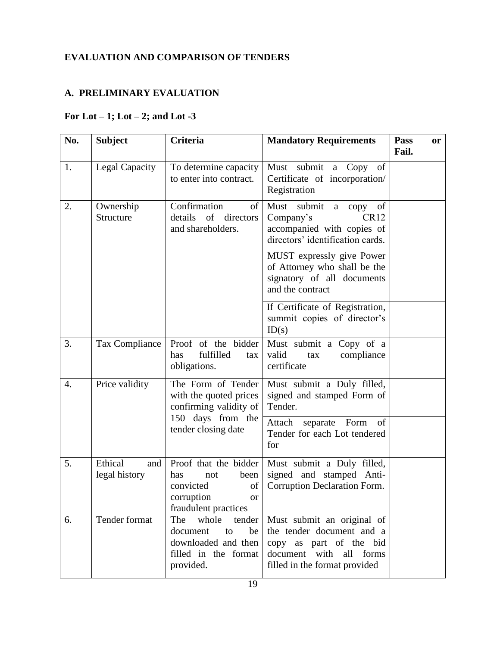# **EVALUATION AND COMPARISON OF TENDERS**

### **A. PRELIMINARY EVALUATION**

### **For Lot – 1; Lot – 2; and Lot -3**

| No.              | <b>Subject</b>                  | <b>Criteria</b>                                                                                                       | <b>Mandatory Requirements</b>                                                                                                                     | Pass<br><b>or</b><br>Fail. |
|------------------|---------------------------------|-----------------------------------------------------------------------------------------------------------------------|---------------------------------------------------------------------------------------------------------------------------------------------------|----------------------------|
| 1.               | Legal Capacity                  | To determine capacity<br>to enter into contract.                                                                      | Must submit a Copy of<br>Certificate of incorporation/<br>Registration                                                                            |                            |
| 2.               | Ownership<br>Structure          | Confirmation<br>of<br>details of directors<br>and shareholders.                                                       | submit<br>Must<br>of<br>copy<br>a<br>Company's<br>CR <sub>12</sub><br>accompanied with copies of<br>directors' identification cards.              |                            |
|                  |                                 |                                                                                                                       | MUST expressly give Power<br>of Attorney who shall be the<br>signatory of all documents<br>and the contract                                       |                            |
|                  |                                 |                                                                                                                       | If Certificate of Registration,<br>summit copies of director's<br>ID(s)                                                                           |                            |
| 3.               | <b>Tax Compliance</b>           | Proof of the bidder<br>fulfilled<br>has<br>tax<br>obligations.                                                        | Must submit a Copy of a<br>valid<br>compliance<br>tax<br>certificate                                                                              |                            |
| $\overline{4}$ . | Price validity                  | The Form of Tender<br>with the quoted prices<br>confirming validity of                                                | Must submit a Duly filled,<br>signed and stamped Form of<br>Tender.                                                                               |                            |
|                  |                                 | 150 days from the<br>tender closing date                                                                              | Attach<br>separate Form<br>of<br>Tender for each Lot tendered<br>for                                                                              |                            |
| 5.               | Ethical<br>and<br>legal history | Proof that the bidder<br>been<br>has<br>not<br>convicted<br>of<br>corruption<br><sub>or</sub><br>fraudulent practices | Must submit a Duly filled,<br>signed and stamped Anti-<br>Corruption Declaration Form.                                                            |                            |
| 6.               | Tender format                   | The<br>whole<br>tender<br>document<br>to<br>be<br>downloaded and then<br>filled in the format<br>provided.            | Must submit an original of<br>the tender document and a<br>copy as part of the bid<br>document with<br>all forms<br>filled in the format provided |                            |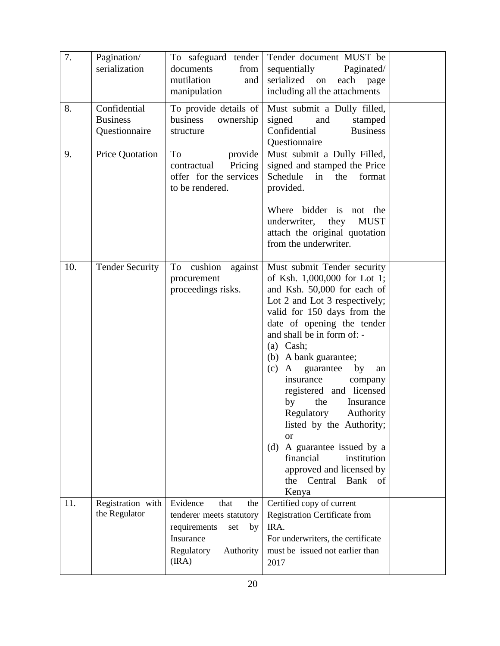| 7.  | Pagination/<br>serialization                     | To safeguard tender<br>documents<br>from<br>mutilation<br>and<br>manipulation                                                     | Tender document MUST be<br>sequentially<br>Paginated/<br>serialized on<br>each<br>page<br>including all the attachments                                                                                                                                                                                                                                                                                                                                                                                                                                                     |  |
|-----|--------------------------------------------------|-----------------------------------------------------------------------------------------------------------------------------------|-----------------------------------------------------------------------------------------------------------------------------------------------------------------------------------------------------------------------------------------------------------------------------------------------------------------------------------------------------------------------------------------------------------------------------------------------------------------------------------------------------------------------------------------------------------------------------|--|
| 8.  | Confidential<br><b>Business</b><br>Questionnaire | To provide details of<br>business<br>ownership<br>structure                                                                       | Must submit a Dully filled,<br>signed<br>and<br>stamped<br>Confidential<br><b>Business</b><br>Questionnaire                                                                                                                                                                                                                                                                                                                                                                                                                                                                 |  |
| 9.  | Price Quotation                                  | To<br>provide<br>Pricing<br>contractual<br>offer for the services<br>to be rendered.                                              | Must submit a Dully Filled,<br>signed and stamped the Price<br>Schedule<br>the<br>format<br>in<br>provided.<br>Where bidder is<br>not the<br><b>MUST</b><br>underwriter,<br>they<br>attach the original quotation<br>from the underwriter.                                                                                                                                                                                                                                                                                                                                  |  |
| 10. | <b>Tender Security</b>                           | cushion<br>To<br>against<br>procurement<br>proceedings risks.                                                                     | Must submit Tender security<br>of Ksh. 1,000,000 for Lot 1;<br>and Ksh. 50,000 for each of<br>Lot 2 and Lot 3 respectively;<br>valid for 150 days from the<br>date of opening the tender<br>and shall be in form of: -<br>$(a)$ Cash;<br>(b) A bank guarantee;<br>(c)<br>A guarantee<br>by<br>an<br>insurance<br>company<br>registered and licensed<br>the<br>by<br>Insurance<br>Regulatory<br>Authority<br>listed by the Authority;<br><b>or</b><br>A guarantee issued by a<br>(d)<br>financial<br>institution<br>approved and licensed by<br>the Central Bank of<br>Kenya |  |
| 11. | Registration with<br>the Regulator               | Evidence<br>that<br>the<br>tenderer meets statutory<br>requirements<br>by<br>set<br>Insurance<br>Regulatory<br>Authority<br>(IRA) | Certified copy of current<br>Registration Certificate from<br>IRA.<br>For underwriters, the certificate<br>must be issued not earlier than<br>2017                                                                                                                                                                                                                                                                                                                                                                                                                          |  |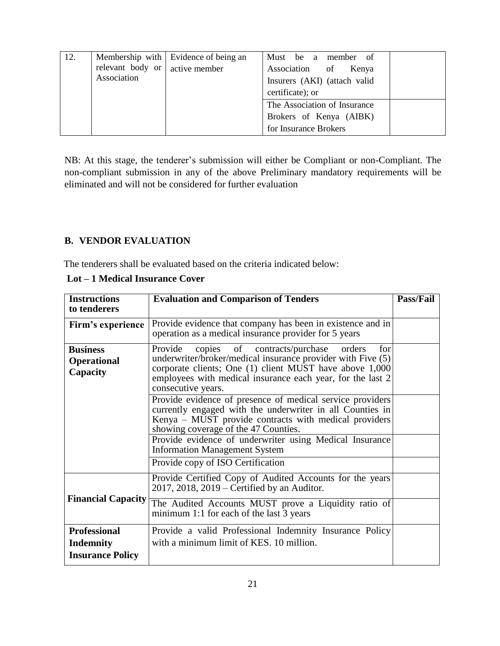| 12. | relevant body or $\vert$ active member | Membership with Evidence of being an | Must be a member of<br>Association of<br>Kenya   |
|-----|----------------------------------------|--------------------------------------|--------------------------------------------------|
|     | Association                            |                                      | Insurers (AKI) (attach valid<br>certificate); or |
|     |                                        |                                      | The Association of Insurance                     |
|     |                                        |                                      | Brokers of Kenya (AIBK)                          |
|     |                                        |                                      | for Insurance Brokers                            |

NB: At this stage, the tenderer's submission will either be Compliant or non-Compliant. The non-compliant submission in any of the above Preliminary mandatory requirements will be eliminated and will not be considered for further evaluation

#### **B. VENDOR EVALUATION**

The tenderers shall be evaluated based on the criteria indicated below:

| <b>Instructions</b><br>to tenderers                                                                                                                                                                                                                                                                                   | <b>Evaluation and Comparison of Tenders</b>                                                                                                                                                                                                                                        |  |
|-----------------------------------------------------------------------------------------------------------------------------------------------------------------------------------------------------------------------------------------------------------------------------------------------------------------------|------------------------------------------------------------------------------------------------------------------------------------------------------------------------------------------------------------------------------------------------------------------------------------|--|
| Firm's experience                                                                                                                                                                                                                                                                                                     | Provide evidence that company has been in existence and in<br>operation as a medical insurance provider for 5 years                                                                                                                                                                |  |
| Provide copies of contracts/purchase orders<br><b>Business</b><br>for<br>underwriter/broker/medical insurance provider with Five (5)<br><b>Operational</b><br>corporate clients; One (1) client MUST have above 1,000<br>Capacity<br>employees with medical insurance each year, for the last 2<br>consecutive years. |                                                                                                                                                                                                                                                                                    |  |
|                                                                                                                                                                                                                                                                                                                       | Provide evidence of presence of medical service providers<br>currently engaged with the underwriter in all Counties in<br>Kenya – MUST provide contracts with medical providers<br>showing coverage of the 47 Counties.<br>Provide evidence of underwriter using Medical Insurance |  |
|                                                                                                                                                                                                                                                                                                                       |                                                                                                                                                                                                                                                                                    |  |
|                                                                                                                                                                                                                                                                                                                       | Provide copy of ISO Certification                                                                                                                                                                                                                                                  |  |
|                                                                                                                                                                                                                                                                                                                       | Provide Certified Copy of Audited Accounts for the years<br>$2017$ , $2018$ , $2019$ – Certified by an Auditor.                                                                                                                                                                    |  |
| <b>Financial Capacity</b>                                                                                                                                                                                                                                                                                             | The Audited Accounts MUST prove a Liquidity ratio of<br>minimum 1:1 for each of the last 3 years                                                                                                                                                                                   |  |
| <b>Professional</b><br><b>Indemnity</b>                                                                                                                                                                                                                                                                               | Provide a valid Professional Indemnity Insurance Policy<br>with a minimum limit of KES. 10 million.                                                                                                                                                                                |  |
| <b>Insurance Policy</b>                                                                                                                                                                                                                                                                                               |                                                                                                                                                                                                                                                                                    |  |

**Lot – 1 Medical Insurance Cover**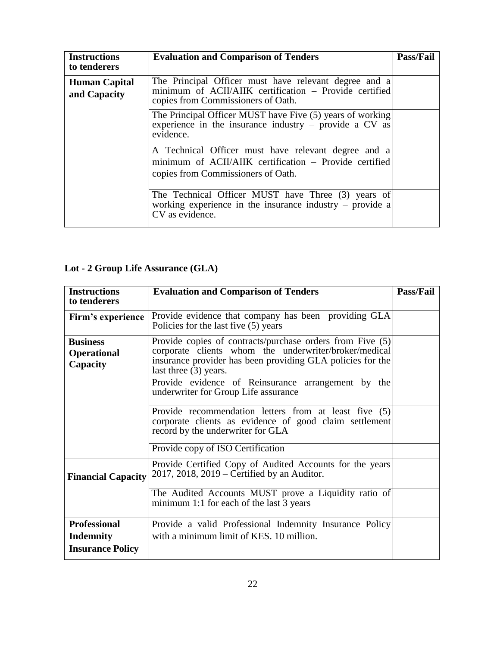| <b>Instructions</b><br>to tenderers  | <b>Evaluation and Comparison of Tenders</b>                                                                                                           | Pass/Fail |
|--------------------------------------|-------------------------------------------------------------------------------------------------------------------------------------------------------|-----------|
| <b>Human Capital</b><br>and Capacity | The Principal Officer must have relevant degree and a<br>minimum of ACII/AIIK certification - Provide certified<br>copies from Commissioners of Oath. |           |
|                                      | The Principal Officer MUST have Five (5) years of working<br>experience in the insurance industry – provide a $CV$ as<br>evidence.                    |           |
|                                      | A Technical Officer must have relevant degree and a<br>minimum of ACII/AIIK certification - Provide certified<br>copies from Commissioners of Oath.   |           |
|                                      | The Technical Officer MUST have Three (3) years of<br>working experience in the insurance industry $-$ provide a<br>CV as evidence.                   |           |

# **Lot - 2 Group Life Assurance (GLA)**

| <b>Instructions</b>       | <b>Evaluation and Comparison of Tenders</b>                                                                                                          | <b>Pass/Fail</b> |
|---------------------------|------------------------------------------------------------------------------------------------------------------------------------------------------|------------------|
| to tenderers              |                                                                                                                                                      |                  |
| Firm's experience         | Provide evidence that company has been providing GLA                                                                                                 |                  |
|                           | Policies for the last five (5) years                                                                                                                 |                  |
| <b>Business</b>           | Provide copies of contracts/purchase orders from Five (5)                                                                                            |                  |
| <b>Operational</b>        | corporate clients whom the underwriter/broker/medical                                                                                                |                  |
| Capacity                  | insurance provider has been providing GLA policies for the<br>last three $(3)$ years.                                                                |                  |
|                           | Provide evidence of Reinsurance arrangement by the<br>underwriter for Group Life assurance                                                           |                  |
|                           | Provide recommendation letters from at least five (5)<br>corporate clients as evidence of good claim settlement<br>record by the underwriter for GLA |                  |
|                           | Provide copy of ISO Certification                                                                                                                    |                  |
| <b>Financial Capacity</b> | Provide Certified Copy of Audited Accounts for the years<br>2017, 2018, 2019 – Certified by an Auditor.                                              |                  |
|                           | The Audited Accounts MUST prove a Liquidity ratio of<br>minimum 1:1 for each of the last 3 years                                                     |                  |
| <b>Professional</b>       | Provide a valid Professional Indemnity Insurance Policy                                                                                              |                  |
| <b>Indemnity</b>          | with a minimum limit of KES, 10 million.                                                                                                             |                  |
| <b>Insurance Policy</b>   |                                                                                                                                                      |                  |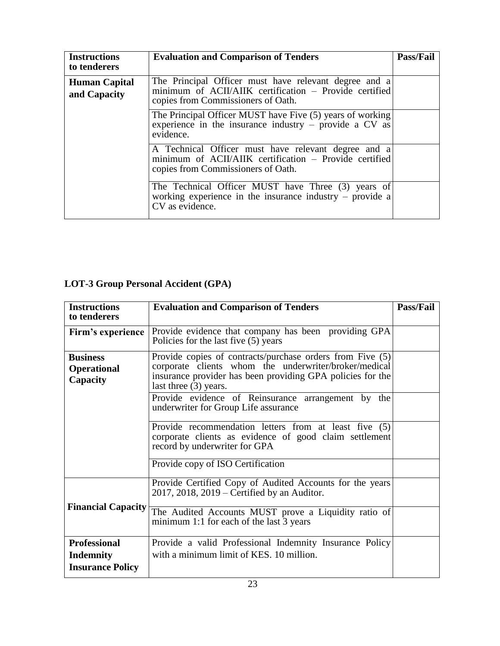| <b>Instructions</b><br>to tenderers  | <b>Evaluation and Comparison of Tenders</b>                                                                                                           | Pass/Fail |
|--------------------------------------|-------------------------------------------------------------------------------------------------------------------------------------------------------|-----------|
| <b>Human Capital</b><br>and Capacity | The Principal Officer must have relevant degree and a<br>minimum of ACII/AIIK certification - Provide certified<br>copies from Commissioners of Oath. |           |
|                                      | The Principal Officer MUST have Five (5) years of working<br>experience in the insurance industry – provide a $CV$ as<br>evidence.                    |           |
|                                      | A Technical Officer must have relevant degree and a<br>minimum of ACII/AIIK certification – Provide certified<br>copies from Commissioners of Oath.   |           |
|                                      | The Technical Officer MUST have Three (3) years of<br>working experience in the insurance industry $-$ provide a<br>CV as evidence.                   |           |

# **LOT-3 Group Personal Accident (GPA)**

| <b>Instructions</b>                               | <b>Evaluation and Comparison of Tenders</b>                                                                                                                                                                 | Pass/Fail |
|---------------------------------------------------|-------------------------------------------------------------------------------------------------------------------------------------------------------------------------------------------------------------|-----------|
| to tenderers                                      |                                                                                                                                                                                                             |           |
| Firm's experience                                 | Provide evidence that company has been providing GPA<br>Policies for the last five (5) years                                                                                                                |           |
| <b>Business</b><br><b>Operational</b><br>Capacity | Provide copies of contracts/purchase orders from Five (5)<br>corporate clients whom the underwriter/broker/medical<br>insurance provider has been providing GPA policies for the<br>last three $(3)$ years. |           |
|                                                   | Provide evidence of Reinsurance arrangement by the<br>underwriter for Group Life assurance                                                                                                                  |           |
|                                                   | Provide recommendation letters from at least five (5)<br>corporate clients as evidence of good claim settlement<br>record by underwriter for GPA                                                            |           |
|                                                   | Provide copy of ISO Certification                                                                                                                                                                           |           |
|                                                   | Provide Certified Copy of Audited Accounts for the years<br>$2017$ , $2018$ , $2019$ – Certified by an Auditor.                                                                                             |           |
| <b>Financial Capacity</b>                         | The Audited Accounts MUST prove a Liquidity ratio of<br>minimum 1:1 for each of the last 3 years                                                                                                            |           |
| <b>Professional</b>                               | Provide a valid Professional Indemnity Insurance Policy                                                                                                                                                     |           |
| <b>Indemnity</b>                                  | with a minimum limit of KES. 10 million.                                                                                                                                                                    |           |
| <b>Insurance Policy</b>                           |                                                                                                                                                                                                             |           |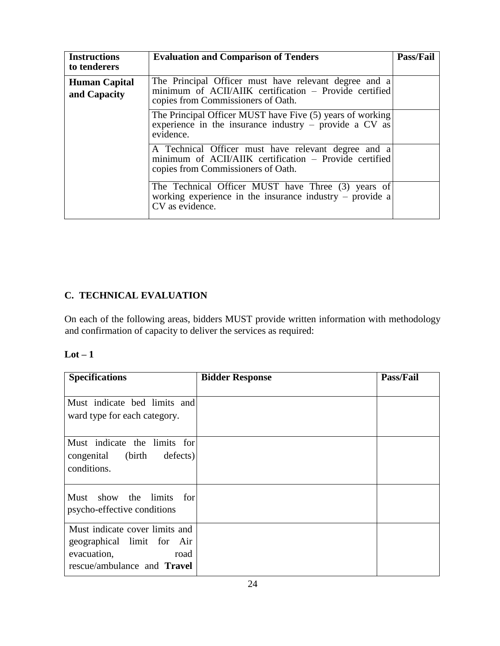| <b>Instructions</b><br>to tenderers  | <b>Evaluation and Comparison of Tenders</b>                                                                                                           | Pass/Fail |
|--------------------------------------|-------------------------------------------------------------------------------------------------------------------------------------------------------|-----------|
| <b>Human Capital</b><br>and Capacity | The Principal Officer must have relevant degree and a<br>minimum of ACII/AIIK certification – Provide certified<br>copies from Commissioners of Oath. |           |
|                                      | The Principal Officer MUST have Five (5) years of working<br>experience in the insurance industry – provide a $CV$ as<br>evidence.                    |           |
|                                      | A Technical Officer must have relevant degree and a<br>minimum of ACII/AIIK certification – Provide certified<br>copies from Commissioners of Oath.   |           |
|                                      | The Technical Officer MUST have Three (3) years of<br>working experience in the insurance industry $-$ provide a<br>CV as evidence.                   |           |

# **C. TECHNICAL EVALUATION**

On each of the following areas, bidders MUST provide written information with methodology and confirmation of capacity to deliver the services as required:

| ×<br>۰. |  |
|---------|--|
|---------|--|

| <b>Specifications</b>                                                                                                     | <b>Bidder Response</b> | <b>Pass/Fail</b> |
|---------------------------------------------------------------------------------------------------------------------------|------------------------|------------------|
| Must indicate bed limits and<br>ward type for each category.                                                              |                        |                  |
| Must indicate the limits for<br>congenital (birth<br>defects)<br>conditions.                                              |                        |                  |
| Must show the limits for<br>psycho-effective conditions                                                                   |                        |                  |
| Must indicate cover limits and<br>geographical limit for Air<br>evacuation,<br>road<br>rescue/ambulance and <b>Travel</b> |                        |                  |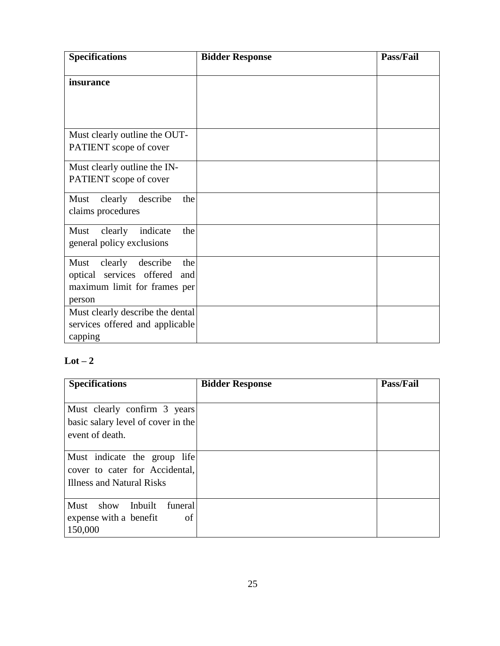| <b>Specifications</b>                                                                                        | <b>Bidder Response</b> | Pass/Fail |
|--------------------------------------------------------------------------------------------------------------|------------------------|-----------|
| insurance                                                                                                    |                        |           |
| Must clearly outline the OUT-<br>PATIENT scope of cover                                                      |                        |           |
| Must clearly outline the IN-<br>PATIENT scope of cover                                                       |                        |           |
| clearly<br>Must<br>describe<br>the<br>claims procedures                                                      |                        |           |
| Must clearly<br>indicate<br>the<br>general policy exclusions                                                 |                        |           |
| Must clearly<br>the<br>describe<br>optical services offered<br>and<br>maximum limit for frames per<br>person |                        |           |
| Must clearly describe the dental<br>services offered and applicable<br>capping                               |                        |           |

# $Lot - 2$

| <b>Specifications</b>              | <b>Bidder Response</b> | Pass/Fail |
|------------------------------------|------------------------|-----------|
|                                    |                        |           |
| Must clearly confirm 3 years       |                        |           |
| basic salary level of cover in the |                        |           |
| event of death.                    |                        |           |
|                                    |                        |           |
| Must indicate the group life       |                        |           |
| cover to cater for Accidental,     |                        |           |
| Illness and Natural Risks          |                        |           |
|                                    |                        |           |
| Must<br>show<br>Inbuilt<br>funeral |                        |           |
| expense with a benefit<br>of       |                        |           |
| 150,000                            |                        |           |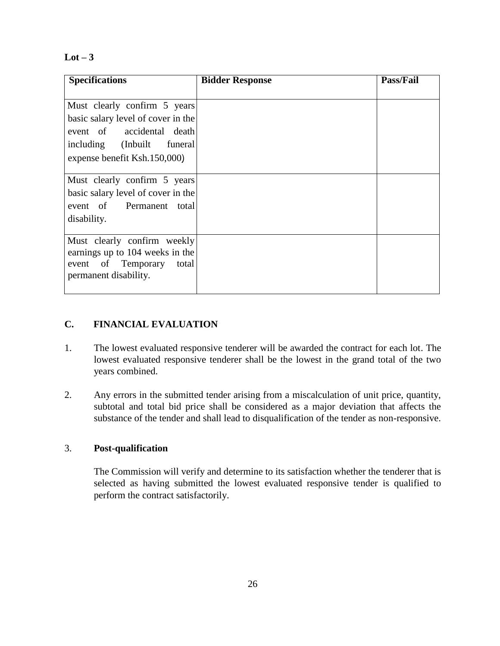$Lot - 3$ 

| <b>Specifications</b>              | <b>Bidder Response</b> | <b>Pass/Fail</b> |
|------------------------------------|------------------------|------------------|
|                                    |                        |                  |
| Must clearly confirm 5 years       |                        |                  |
| basic salary level of cover in the |                        |                  |
| event of accidental death          |                        |                  |
| including (Inbuilt funeral         |                        |                  |
| expense benefit Ksh.150,000)       |                        |                  |
|                                    |                        |                  |
| Must clearly confirm 5 years       |                        |                  |
| basic salary level of cover in the |                        |                  |
| event of Permanent total           |                        |                  |
| disability.                        |                        |                  |
|                                    |                        |                  |
| Must clearly confirm weekly        |                        |                  |
| earnings up to 104 weeks in the    |                        |                  |
| event of Temporary<br>total        |                        |                  |
| permanent disability.              |                        |                  |
|                                    |                        |                  |

### **C. FINANCIAL EVALUATION**

- 1. The lowest evaluated responsive tenderer will be awarded the contract for each lot. The lowest evaluated responsive tenderer shall be the lowest in the grand total of the two years combined.
- 2. Any errors in the submitted tender arising from a miscalculation of unit price, quantity, subtotal and total bid price shall be considered as a major deviation that affects the substance of the tender and shall lead to disqualification of the tender as non-responsive.

#### 3. **Post-qualification**

The Commission will verify and determine to its satisfaction whether the tenderer that is selected as having submitted the lowest evaluated responsive tender is qualified to perform the contract satisfactorily.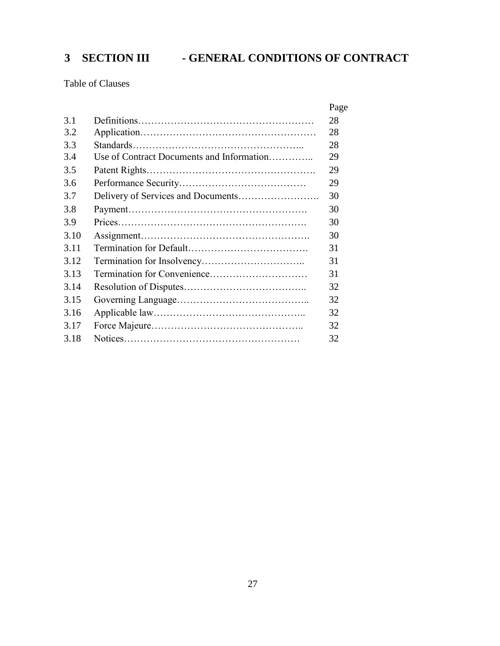# <span id="page-26-0"></span>**3 SECTION III - GENERAL CONDITIONS OF CONTRACT**

Table of Clauses

|      |                                           | Page |
|------|-------------------------------------------|------|
| 3.1  |                                           | 28   |
| 3.2  |                                           | 28   |
| 3.3  |                                           | 28   |
| 3.4  | Use of Contract Documents and Information | 29   |
| 3.5  |                                           | 29   |
| 3.6  |                                           | 29   |
| 3.7  |                                           | 30   |
| 3.8  |                                           | 30   |
| 3.9  |                                           | 30   |
| 3.10 |                                           | 30   |
| 3.11 |                                           | 31   |
| 3.12 |                                           | 31   |
| 3.13 | Termination for Convenience               | 31   |
| 3.14 |                                           | 32   |
| 3.15 |                                           | 32   |
| 3.16 |                                           | 32   |
| 3.17 |                                           | 32   |
| 3.18 |                                           | 32   |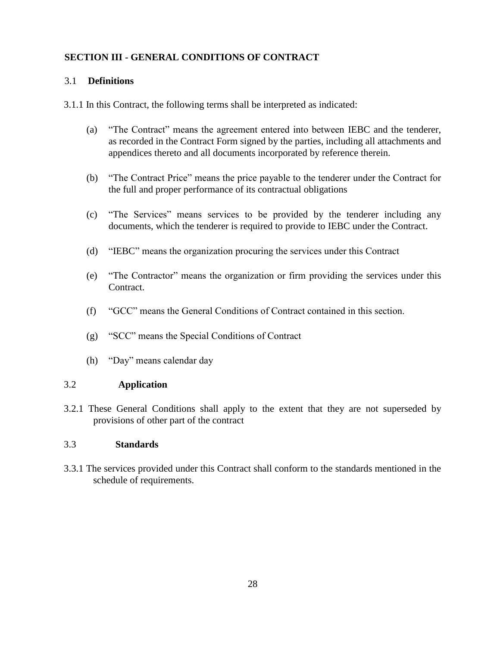#### **SECTION III - GENERAL CONDITIONS OF CONTRACT**

#### 3.1 **Definitions**

3.1.1 In this Contract, the following terms shall be interpreted as indicated:

- (a) "The Contract" means the agreement entered into between IEBC and the tenderer, as recorded in the Contract Form signed by the parties, including all attachments and appendices thereto and all documents incorporated by reference therein.
- (b) "The Contract Price" means the price payable to the tenderer under the Contract for the full and proper performance of its contractual obligations
- (c) "The Services" means services to be provided by the tenderer including any documents, which the tenderer is required to provide to IEBC under the Contract.
- (d) "IEBC" means the organization procuring the services under this Contract
- (e) "The Contractor" means the organization or firm providing the services under this Contract.
- (f) "GCC" means the General Conditions of Contract contained in this section.
- (g) "SCC" means the Special Conditions of Contract
- (h) "Day" means calendar day

#### 3.2 **Application**

3.2.1 These General Conditions shall apply to the extent that they are not superseded by provisions of other part of the contract

#### 3.3 **Standards**

3.3.1 The services provided under this Contract shall conform to the standards mentioned in the schedule of requirements.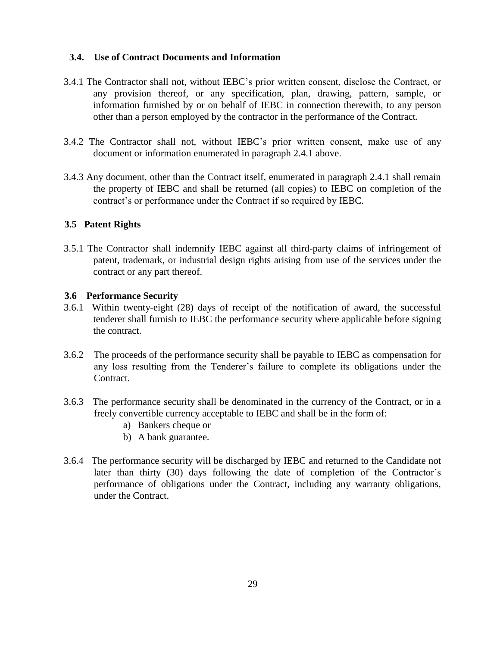#### **3.4. Use of Contract Documents and Information**

- 3.4.1 The Contractor shall not, without IEBC's prior written consent, disclose the Contract, or any provision thereof, or any specification, plan, drawing, pattern, sample, or information furnished by or on behalf of IEBC in connection therewith, to any person other than a person employed by the contractor in the performance of the Contract.
- 3.4.2 The Contractor shall not, without IEBC's prior written consent, make use of any document or information enumerated in paragraph 2.4.1 above.
- 3.4.3 Any document, other than the Contract itself, enumerated in paragraph 2.4.1 shall remain the property of IEBC and shall be returned (all copies) to IEBC on completion of the contract's or performance under the Contract if so required by IEBC.

#### **3.5 Patent Rights**

3.5.1 The Contractor shall indemnify IEBC against all third-party claims of infringement of patent, trademark, or industrial design rights arising from use of the services under the contract or any part thereof.

#### **3.6 Performance Security**

- 3.6.1 Within twenty-eight (28) days of receipt of the notification of award, the successful tenderer shall furnish to IEBC the performance security where applicable before signing the contract.
- 3.6.2 The proceeds of the performance security shall be payable to IEBC as compensation for any loss resulting from the Tenderer's failure to complete its obligations under the Contract.
- 3.6.3 The performance security shall be denominated in the currency of the Contract, or in a freely convertible currency acceptable to IEBC and shall be in the form of:
	- a) Bankers cheque or
	- b) A bank guarantee.
- 3.6.4 The performance security will be discharged by IEBC and returned to the Candidate not later than thirty (30) days following the date of completion of the Contractor's performance of obligations under the Contract, including any warranty obligations, under the Contract.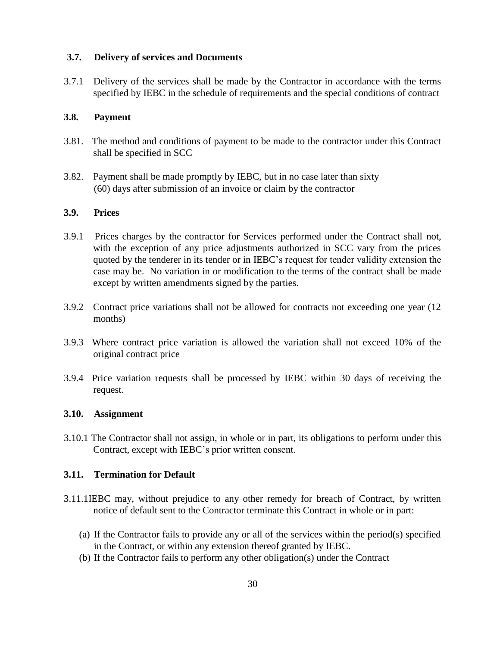#### **3.7. Delivery of services and Documents**

3.7.1 Delivery of the services shall be made by the Contractor in accordance with the terms specified by IEBC in the schedule of requirements and the special conditions of contract

#### **3.8. Payment**

- 3.81. The method and conditions of payment to be made to the contractor under this Contract shall be specified in SCC
- 3.82. Payment shall be made promptly by IEBC, but in no case later than sixty (60) days after submission of an invoice or claim by the contractor

#### **3.9. Prices**

- 3.9.1 Prices charges by the contractor for Services performed under the Contract shall not, with the exception of any price adjustments authorized in SCC vary from the prices quoted by the tenderer in its tender or in IEBC's request for tender validity extension the case may be. No variation in or modification to the terms of the contract shall be made except by written amendments signed by the parties.
- 3.9.2 Contract price variations shall not be allowed for contracts not exceeding one year (12 months)
- 3.9.3 Where contract price variation is allowed the variation shall not exceed 10% of the original contract price
- 3.9.4 Price variation requests shall be processed by IEBC within 30 days of receiving the request.

#### **3.10. Assignment**

3.10.1 The Contractor shall not assign, in whole or in part, its obligations to perform under this Contract, except with IEBC's prior written consent.

#### **3.11. Termination for Default**

- 3.11.1IEBC may, without prejudice to any other remedy for breach of Contract, by written notice of default sent to the Contractor terminate this Contract in whole or in part:
	- (a) If the Contractor fails to provide any or all of the services within the period(s) specified in the Contract, or within any extension thereof granted by IEBC.
	- (b) If the Contractor fails to perform any other obligation(s) under the Contract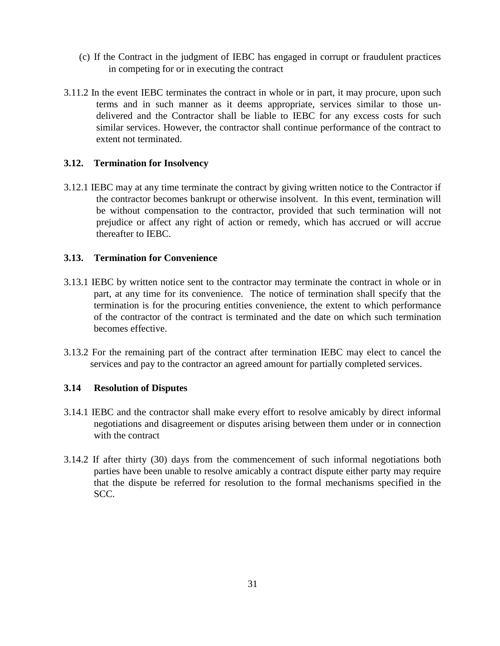- (c) If the Contract in the judgment of IEBC has engaged in corrupt or fraudulent practices in competing for or in executing the contract
- 3.11.2 In the event IEBC terminates the contract in whole or in part, it may procure, upon such terms and in such manner as it deems appropriate, services similar to those undelivered and the Contractor shall be liable to IEBC for any excess costs for such similar services. However, the contractor shall continue performance of the contract to extent not terminated.

#### **3.12. Termination for Insolvency**

3.12.1 IEBC may at any time terminate the contract by giving written notice to the Contractor if the contractor becomes bankrupt or otherwise insolvent. In this event, termination will be without compensation to the contractor, provided that such termination will not prejudice or affect any right of action or remedy, which has accrued or will accrue thereafter to IEBC.

#### **3.13. Termination for Convenience**

- 3.13.1 IEBC by written notice sent to the contractor may terminate the contract in whole or in part, at any time for its convenience. The notice of termination shall specify that the termination is for the procuring entities convenience, the extent to which performance of the contractor of the contract is terminated and the date on which such termination becomes effective.
- 3.13.2 For the remaining part of the contract after termination IEBC may elect to cancel the services and pay to the contractor an agreed amount for partially completed services.

#### **3.14 Resolution of Disputes**

- 3.14.1 IEBC and the contractor shall make every effort to resolve amicably by direct informal negotiations and disagreement or disputes arising between them under or in connection with the contract
- 3.14.2 If after thirty (30) days from the commencement of such informal negotiations both parties have been unable to resolve amicably a contract dispute either party may require that the dispute be referred for resolution to the formal mechanisms specified in the SCC.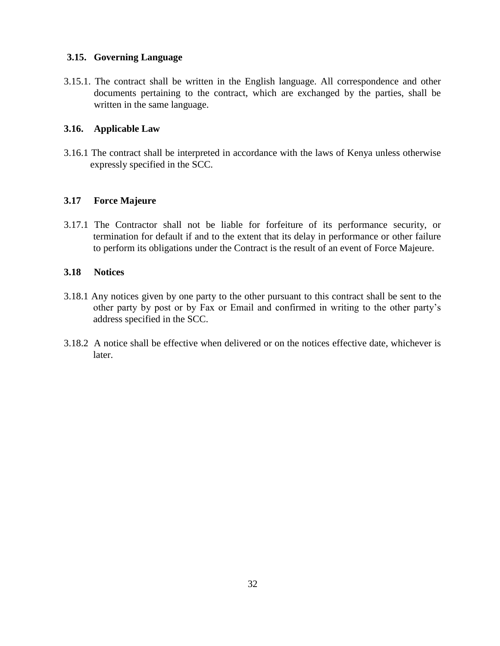#### **3.15. Governing Language**

3.15.1. The contract shall be written in the English language. All correspondence and other documents pertaining to the contract, which are exchanged by the parties, shall be written in the same language.

#### **3.16. Applicable Law**

3.16.1 The contract shall be interpreted in accordance with the laws of Kenya unless otherwise expressly specified in the SCC.

#### **3.17 Force Majeure**

3.17.1 The Contractor shall not be liable for forfeiture of its performance security, or termination for default if and to the extent that its delay in performance or other failure to perform its obligations under the Contract is the result of an event of Force Majeure.

#### **3.18 Notices**

- 3.18.1 Any notices given by one party to the other pursuant to this contract shall be sent to the other party by post or by Fax or Email and confirmed in writing to the other party's address specified in the SCC.
- 3.18.2 A notice shall be effective when delivered or on the notices effective date, whichever is later.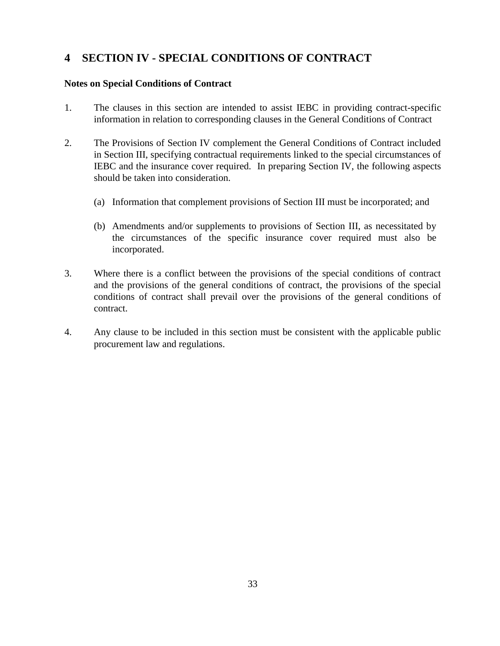# <span id="page-32-0"></span>**4 SECTION IV - SPECIAL CONDITIONS OF CONTRACT**

#### **Notes on Special Conditions of Contract**

- 1. The clauses in this section are intended to assist IEBC in providing contract-specific information in relation to corresponding clauses in the General Conditions of Contract
- 2. The Provisions of Section IV complement the General Conditions of Contract included in Section III, specifying contractual requirements linked to the special circumstances of IEBC and the insurance cover required. In preparing Section IV, the following aspects should be taken into consideration.
	- (a) Information that complement provisions of Section III must be incorporated; and
	- (b) Amendments and/or supplements to provisions of Section III, as necessitated by the circumstances of the specific insurance cover required must also be incorporated.
- 3. Where there is a conflict between the provisions of the special conditions of contract and the provisions of the general conditions of contract, the provisions of the special conditions of contract shall prevail over the provisions of the general conditions of contract.
- 4. Any clause to be included in this section must be consistent with the applicable public procurement law and regulations.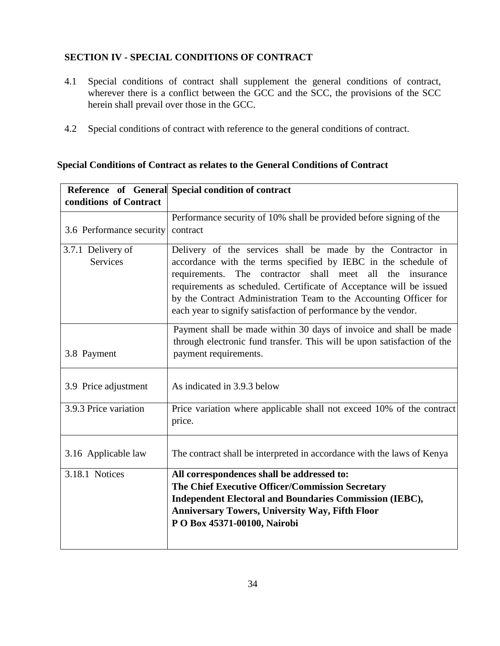### **SECTION IV - SPECIAL CONDITIONS OF CONTRACT**

- 4.1 Special conditions of contract shall supplement the general conditions of contract, wherever there is a conflict between the GCC and the SCC, the provisions of the SCC herein shall prevail over those in the GCC.
- 4.2 Special conditions of contract with reference to the general conditions of contract.

#### **Special Conditions of Contract as relates to the General Conditions of Contract**

|                          | Reference of General Special condition of contract                                                                                                                                                                                                                                                                                                           |
|--------------------------|--------------------------------------------------------------------------------------------------------------------------------------------------------------------------------------------------------------------------------------------------------------------------------------------------------------------------------------------------------------|
| conditions of Contract   |                                                                                                                                                                                                                                                                                                                                                              |
|                          | Performance security of 10% shall be provided before signing of the                                                                                                                                                                                                                                                                                          |
| 3.6 Performance security | contract                                                                                                                                                                                                                                                                                                                                                     |
| 3.7.1 Delivery of        | Delivery of the services shall be made by the Contractor in                                                                                                                                                                                                                                                                                                  |
| <b>Services</b>          | accordance with the terms specified by IEBC in the schedule of<br>requirements.<br>The<br>contractor<br>shall meet<br>all<br>the<br>insurance<br>requirements as scheduled. Certificate of Acceptance will be issued<br>by the Contract Administration Team to the Accounting Officer for<br>each year to signify satisfaction of performance by the vendor. |
|                          |                                                                                                                                                                                                                                                                                                                                                              |
| 3.8 Payment              | Payment shall be made within 30 days of invoice and shall be made<br>through electronic fund transfer. This will be upon satisfaction of the<br>payment requirements.                                                                                                                                                                                        |
| 3.9 Price adjustment     | As indicated in 3.9.3 below                                                                                                                                                                                                                                                                                                                                  |
| 3.9.3 Price variation    | Price variation where applicable shall not exceed 10% of the contract<br>price.                                                                                                                                                                                                                                                                              |
| 3.16 Applicable law      | The contract shall be interpreted in accordance with the laws of Kenya                                                                                                                                                                                                                                                                                       |
| 3.18.1 Notices           | All correspondences shall be addressed to:                                                                                                                                                                                                                                                                                                                   |
|                          | The Chief Executive Officer/Commission Secretary                                                                                                                                                                                                                                                                                                             |
|                          | <b>Independent Electoral and Boundaries Commission (IEBC),</b>                                                                                                                                                                                                                                                                                               |
|                          | <b>Anniversary Towers, University Way, Fifth Floor</b><br>PO Box 45371-00100, Nairobi                                                                                                                                                                                                                                                                        |
|                          |                                                                                                                                                                                                                                                                                                                                                              |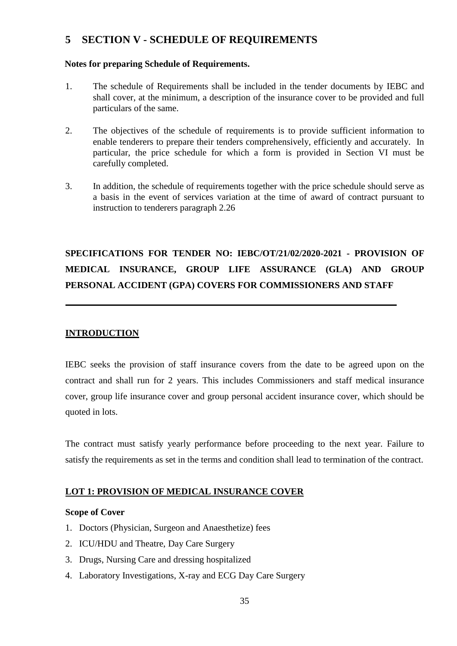# <span id="page-34-0"></span>**5 SECTION V - SCHEDULE OF REQUIREMENTS**

#### **Notes for preparing Schedule of Requirements.**

- 1. The schedule of Requirements shall be included in the tender documents by IEBC and shall cover, at the minimum, a description of the insurance cover to be provided and full particulars of the same.
- 2. The objectives of the schedule of requirements is to provide sufficient information to enable tenderers to prepare their tenders comprehensively, efficiently and accurately. In particular, the price schedule for which a form is provided in Section VI must be carefully completed.
- 3. In addition, the schedule of requirements together with the price schedule should serve as a basis in the event of services variation at the time of award of contract pursuant to instruction to tenderers paragraph 2.26

# **SPECIFICATIONS FOR TENDER NO: IEBC/OT/21/02/2020-2021 - PROVISION OF MEDICAL INSURANCE, GROUP LIFE ASSURANCE (GLA) AND GROUP PERSONAL ACCIDENT (GPA) COVERS FOR COMMISSIONERS AND STAFF**

#### **INTRODUCTION**

IEBC seeks the provision of staff insurance covers from the date to be agreed upon on the contract and shall run for 2 years. This includes Commissioners and staff medical insurance cover, group life insurance cover and group personal accident insurance cover, which should be quoted in lots.

The contract must satisfy yearly performance before proceeding to the next year. Failure to satisfy the requirements as set in the terms and condition shall lead to termination of the contract.

#### **LOT 1: PROVISION OF MEDICAL INSURANCE COVER**

#### **Scope of Cover**

- 1. Doctors (Physician, Surgeon and Anaesthetize) fees
- 2. ICU/HDU and Theatre, Day Care Surgery
- 3. Drugs, Nursing Care and dressing hospitalized
- 4. Laboratory Investigations, X-ray and ECG Day Care Surgery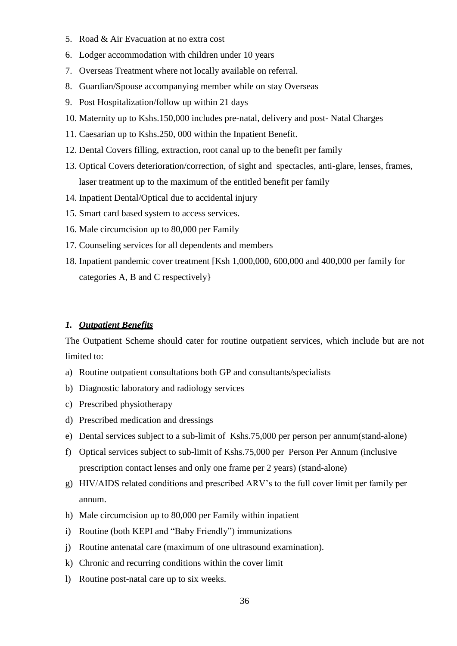- 5. Road & Air Evacuation at no extra cost
- 6. Lodger accommodation with children under 10 years
- 7. Overseas Treatment where not locally available on referral.
- 8. Guardian/Spouse accompanying member while on stay Overseas
- 9. Post Hospitalization/follow up within 21 days
- 10. Maternity up to Kshs.150,000 includes pre-natal, delivery and post- Natal Charges
- 11. Caesarian up to Kshs.250, 000 within the Inpatient Benefit.
- 12. Dental Covers filling, extraction, root canal up to the benefit per family
- 13. Optical Covers deterioration/correction, of sight and spectacles, anti-glare, lenses, frames, laser treatment up to the maximum of the entitled benefit per family
- 14. Inpatient Dental/Optical due to accidental injury
- 15. Smart card based system to access services.
- 16. Male circumcision up to 80,000 per Family
- 17. Counseling services for all dependents and members
- 18. Inpatient pandemic cover treatment [Ksh 1,000,000, 600,000 and 400,000 per family for categories A, B and C respectively}

#### *1. Outpatient Benefits*

The Outpatient Scheme should cater for routine outpatient services, which include but are not limited to:

- a) Routine outpatient consultations both GP and consultants/specialists
- b) Diagnostic laboratory and radiology services
- c) Prescribed physiotherapy
- d) Prescribed medication and dressings
- e) Dental services subject to a sub-limit of Kshs.75,000 per person per annum(stand-alone)
- f) Optical services subject to sub-limit of Kshs.75,000 per Person Per Annum (inclusive prescription contact lenses and only one frame per 2 years) (stand-alone)
- g) HIV/AIDS related conditions and prescribed ARV's to the full cover limit per family per annum.
- h) Male circumcision up to 80,000 per Family within inpatient
- i) Routine (both KEPI and "Baby Friendly") immunizations
- j) Routine antenatal care (maximum of one ultrasound examination).
- k) Chronic and recurring conditions within the cover limit
- l) Routine post-natal care up to six weeks.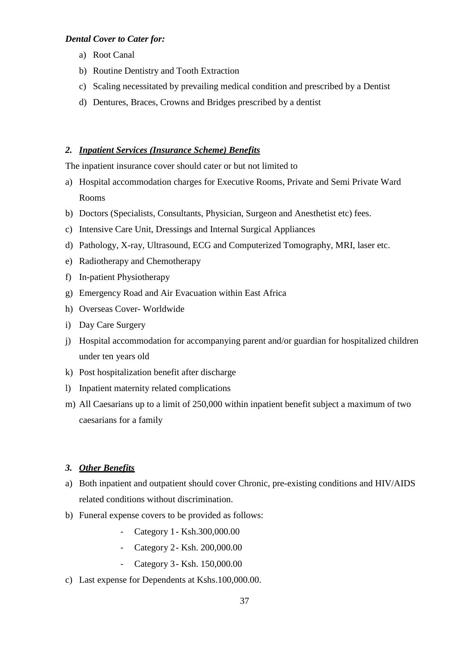#### *Dental Cover to Cater for:*

- a) Root Canal
- b) Routine Dentistry and Tooth Extraction
- c) Scaling necessitated by prevailing medical condition and prescribed by a Dentist
- d) Dentures, Braces, Crowns and Bridges prescribed by a dentist

#### *2. Inpatient Services (Insurance Scheme) Benefits*

The inpatient insurance cover should cater or but not limited to

- a) Hospital accommodation charges for Executive Rooms, Private and Semi Private Ward Rooms
- b) Doctors (Specialists, Consultants, Physician, Surgeon and Anesthetist etc) fees.
- c) Intensive Care Unit, Dressings and Internal Surgical Appliances
- d) Pathology, X-ray, Ultrasound, ECG and Computerized Tomography, MRI, laser etc.
- e) Radiotherapy and Chemotherapy
- f) In-patient Physiotherapy
- g) Emergency Road and Air Evacuation within East Africa
- h) Overseas Cover- Worldwide
- i) Day Care Surgery
- j) Hospital accommodation for accompanying parent and/or guardian for hospitalized children under ten years old
- k) Post hospitalization benefit after discharge
- l) Inpatient maternity related complications
- m) All Caesarians up to a limit of 250,000 within inpatient benefit subject a maximum of two caesarians for a family

#### *3. Other Benefits*

- a) Both inpatient and outpatient should cover Chronic, pre-existing conditions and HIV/AIDS related conditions without discrimination.
- b) Funeral expense covers to be provided as follows:
	- Category 1- Ksh.300,000.00
	- Category 2- Ksh. 200,000.00
	- Category 3- Ksh. 150,000.00
- c) Last expense for Dependents at Kshs.100,000.00.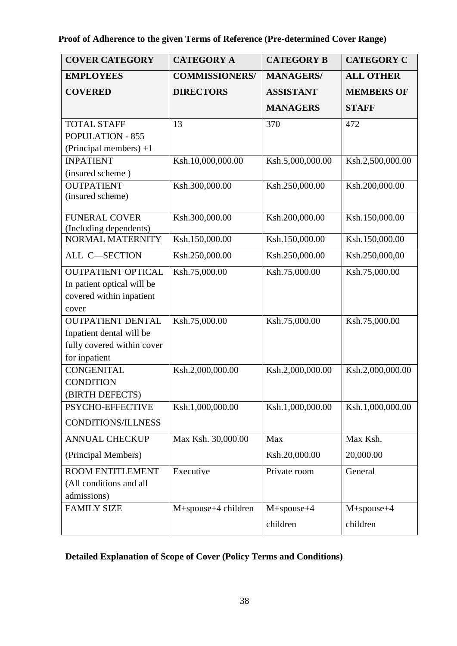# **Proof of Adherence to the given Terms of Reference (Pre-determined Cover Range)**

| <b>COVER CATEGORY</b>      | <b>CATEGORY A</b>     | <b>CATEGORY B</b> | <b>CATEGORY C</b> |
|----------------------------|-----------------------|-------------------|-------------------|
| <b>EMPLOYEES</b>           | <b>COMMISSIONERS/</b> | <b>MANAGERS/</b>  | <b>ALL OTHER</b>  |
| <b>COVERED</b>             | <b>DIRECTORS</b>      | <b>ASSISTANT</b>  | <b>MEMBERS OF</b> |
|                            |                       | <b>MANAGERS</b>   | <b>STAFF</b>      |
| <b>TOTAL STAFF</b>         | 13                    | 370               | 472               |
| POPULATION - 855           |                       |                   |                   |
| (Principal members) $+1$   |                       |                   |                   |
| <b>INPATIENT</b>           | Ksh.10,000,000.00     | Ksh.5,000,000.00  | Ksh.2,500,000.00  |
| (insured scheme)           |                       |                   |                   |
| <b>OUTPATIENT</b>          | Ksh.300,000.00        | Ksh.250,000.00    | Ksh.200,000.00    |
| (insured scheme)           |                       |                   |                   |
| <b>FUNERAL COVER</b>       | Ksh.300,000.00        | Ksh.200,000.00    | Ksh.150,000.00    |
| (Including dependents)     |                       |                   |                   |
| NORMAL MATERNITY           | Ksh.150,000.00        | Ksh.150,000.00    | Ksh.150,000.00    |
| ALL C-SECTION              | Ksh.250,000.00        | Ksh.250,000.00    | Ksh.250,000,00    |
| <b>OUTPATIENT OPTICAL</b>  | Ksh.75,000.00         | Ksh.75,000.00     | Ksh.75,000.00     |
| In patient optical will be |                       |                   |                   |
| covered within inpatient   |                       |                   |                   |
| cover                      |                       |                   |                   |
| <b>OUTPATIENT DENTAL</b>   | Ksh.75,000.00         | Ksh.75,000.00     | Ksh.75,000.00     |
| Inpatient dental will be   |                       |                   |                   |
| fully covered within cover |                       |                   |                   |
| for inpatient              |                       |                   |                   |
| <b>CONGENITAL</b>          | Ksh.2,000,000.00      | Ksh.2,000,000.00  | Ksh.2,000,000.00  |
| <b>CONDITION</b>           |                       |                   |                   |
| (BIRTH DEFECTS)            |                       |                   |                   |
| PSYCHO-EFFECTIVE           | Ksh.1,000,000.00      | Ksh.1,000,000.00  | Ksh.1,000,000.00  |
| <b>CONDITIONS/ILLNESS</b>  |                       |                   |                   |
| <b>ANNUAL CHECKUP</b>      | Max Ksh. 30,000.00    | Max               | Max Ksh.          |
| (Principal Members)        |                       | Ksh.20,000.00     | 20,000.00         |
| <b>ROOM ENTITLEMENT</b>    | Executive             | Private room      | General           |
| (All conditions and all    |                       |                   |                   |
| admissions)                |                       |                   |                   |
| <b>FAMILY SIZE</b>         | M+spouse+4 children   | $M+spouse+4$      | $M+spouse+4$      |
|                            |                       | children          | children          |
|                            |                       |                   |                   |

# **Detailed Explanation of Scope of Cover (Policy Terms and Conditions)**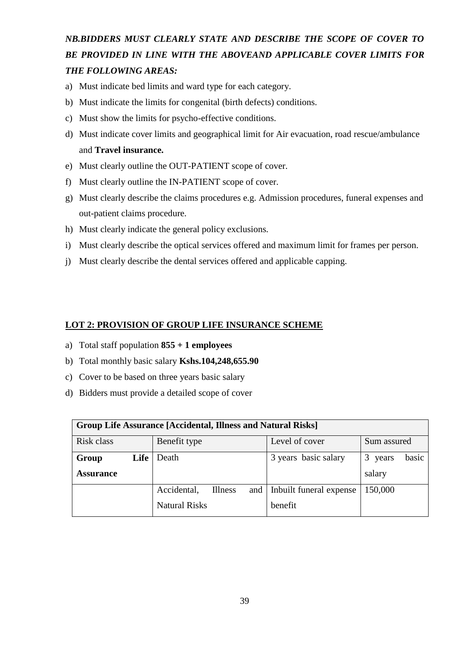# *NB.BIDDERS MUST CLEARLY STATE AND DESCRIBE THE SCOPE OF COVER TO BE PROVIDED IN LINE WITH THE ABOVEAND APPLICABLE COVER LIMITS FOR THE FOLLOWING AREAS:*

- a) Must indicate bed limits and ward type for each category.
- b) Must indicate the limits for congenital (birth defects) conditions.
- c) Must show the limits for psycho-effective conditions.
- d) Must indicate cover limits and geographical limit for Air evacuation, road rescue/ambulance and **Travel insurance.**
- e) Must clearly outline the OUT-PATIENT scope of cover.
- f) Must clearly outline the IN-PATIENT scope of cover.
- g) Must clearly describe the claims procedures e.g. Admission procedures, funeral expenses and out-patient claims procedure.
- h) Must clearly indicate the general policy exclusions.
- i) Must clearly describe the optical services offered and maximum limit for frames per person.
- j) Must clearly describe the dental services offered and applicable capping.

#### **LOT 2: PROVISION OF GROUP LIFE INSURANCE SCHEME**

- a) Total staff population **855 + 1 employees**
- b) Total monthly basic salary **Kshs.104,248,655.90**
- c) Cover to be based on three years basic salary
- d) Bidders must provide a detailed scope of cover

| <b>Group Life Assurance [Accidental, Illness and Natural Risks]</b> |                                      |                         |                |  |
|---------------------------------------------------------------------|--------------------------------------|-------------------------|----------------|--|
| Risk class                                                          | Benefit type                         | Level of cover          | Sum assured    |  |
| Life<br>Group                                                       | Death                                | 3 years basic salary    | basic<br>years |  |
| <b>Assurance</b>                                                    |                                      |                         | salary         |  |
|                                                                     | Accidental.<br><b>Illness</b><br>and | Inbuilt funeral expense | 150,000        |  |
|                                                                     | <b>Natural Risks</b>                 | benefit                 |                |  |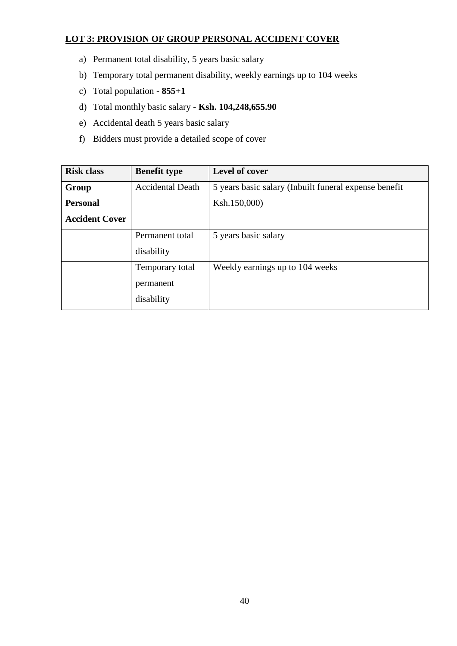### **LOT 3: PROVISION OF GROUP PERSONAL ACCIDENT COVER**

- a) Permanent total disability, 5 years basic salary
- b) Temporary total permanent disability, weekly earnings up to 104 weeks
- c) Total population **855+1**
- d) Total monthly basic salary **Ksh. 104,248,655.90**
- e) Accidental death 5 years basic salary
- f) Bidders must provide a detailed scope of cover

| <b>Risk class</b>     | <b>Benefit type</b>     | Level of cover                                        |
|-----------------------|-------------------------|-------------------------------------------------------|
| Group                 | <b>Accidental Death</b> | 5 years basic salary (Inbuilt funeral expense benefit |
| <b>Personal</b>       |                         | Ksh.150,000)                                          |
| <b>Accident Cover</b> |                         |                                                       |
|                       | Permanent total         | 5 years basic salary                                  |
|                       | disability              |                                                       |
|                       | Temporary total         | Weekly earnings up to 104 weeks                       |
|                       | permanent               |                                                       |
|                       | disability              |                                                       |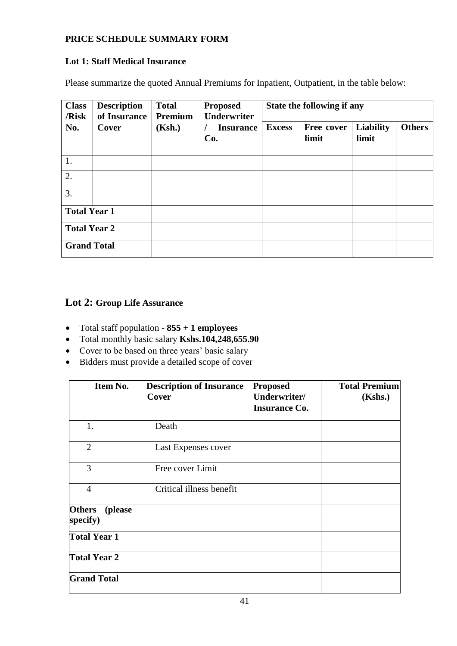### **PRICE SCHEDULE SUMMARY FORM**

#### **Lot 1: Staff Medical Insurance**

Please summarize the quoted Annual Premiums for Inpatient, Outpatient, in the table below:

| <b>Class</b><br>/Risk | <b>Description</b><br>of Insurance | <b>Total</b><br>Premium | <b>Proposed</b><br><b>Underwriter</b> | State the following if any |                     |                    |               |
|-----------------------|------------------------------------|-------------------------|---------------------------------------|----------------------------|---------------------|--------------------|---------------|
| No.                   | Cover                              | (Ksh.)                  | <b>Insurance</b><br>Co.               | <b>Excess</b>              | Free cover<br>limit | Liability<br>limit | <b>Others</b> |
| 1.                    |                                    |                         |                                       |                            |                     |                    |               |
| 2.                    |                                    |                         |                                       |                            |                     |                    |               |
| 3.                    |                                    |                         |                                       |                            |                     |                    |               |
| <b>Total Year 1</b>   |                                    |                         |                                       |                            |                     |                    |               |
| <b>Total Year 2</b>   |                                    |                         |                                       |                            |                     |                    |               |
| <b>Grand Total</b>    |                                    |                         |                                       |                            |                     |                    |               |

# **Lot 2: Group Life Assurance**

- Total staff population **855 + 1 employees**
- Total monthly basic salary **Kshs.104,248,655.90**
- Cover to be based on three years' basic salary
- Bidders must provide a detailed scope of cover

| Item No.                             | <b>Description of Insurance</b><br>Cover | <b>Proposed</b><br>Underwriter/ | <b>Total Premium</b><br>(Kshs.) |
|--------------------------------------|------------------------------------------|---------------------------------|---------------------------------|
|                                      |                                          | <b>Insurance Co.</b>            |                                 |
| 1.                                   | Death                                    |                                 |                                 |
| $\overline{2}$                       | Last Expenses cover                      |                                 |                                 |
| 3                                    | Free cover Limit                         |                                 |                                 |
| $\overline{4}$                       | Critical illness benefit                 |                                 |                                 |
| <b>Others</b><br>(please<br>specify) |                                          |                                 |                                 |
| <b>Total Year 1</b>                  |                                          |                                 |                                 |
| <b>Total Year 2</b>                  |                                          |                                 |                                 |
| <b>Grand Total</b>                   |                                          |                                 |                                 |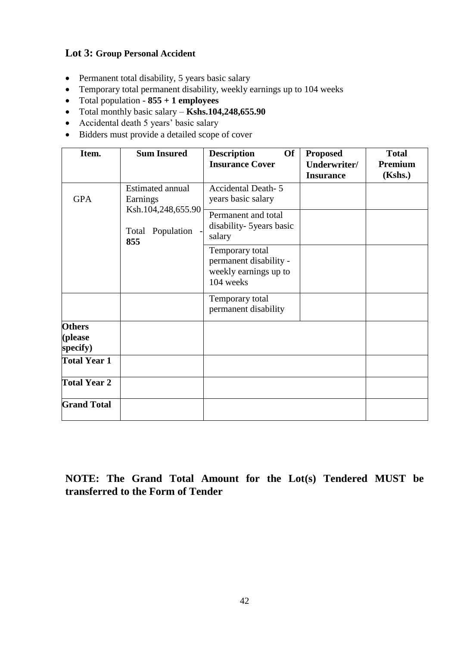# **Lot 3: Group Personal Accident**

- Permanent total disability, 5 years basic salary
- Temporary total permanent disability, weekly earnings up to 104 weeks
- Total population **855 + 1 employees**
- Total monthly basic salary **Kshs.104,248,655.90**
- Accidental death 5 years' basic salary
- Bidders must provide a detailed scope of cover

| Item.                                | <b>Sum Insured</b>                                                            | <b>Description</b><br><b>Of</b><br><b>Insurance Cover</b>                       | <b>Proposed</b><br>Underwriter/<br><b>Insurance</b> | <b>Total</b><br>Premium<br>(Kshs.) |
|--------------------------------------|-------------------------------------------------------------------------------|---------------------------------------------------------------------------------|-----------------------------------------------------|------------------------------------|
| <b>GPA</b>                           | Estimated annual<br>Earnings<br>Ksh.104,248,655.90<br>Total Population<br>855 | <b>Accidental Death-5</b><br>years basic salary                                 |                                                     |                                    |
|                                      |                                                                               | Permanent and total<br>disability- 5years basic<br>salary                       |                                                     |                                    |
|                                      |                                                                               | Temporary total<br>permanent disability -<br>weekly earnings up to<br>104 weeks |                                                     |                                    |
|                                      |                                                                               | Temporary total<br>permanent disability                                         |                                                     |                                    |
| <b>Others</b><br>(please<br>specify) |                                                                               |                                                                                 |                                                     |                                    |
| <b>Total Year 1</b>                  |                                                                               |                                                                                 |                                                     |                                    |
| <b>Total Year 2</b>                  |                                                                               |                                                                                 |                                                     |                                    |
| <b>Grand Total</b>                   |                                                                               |                                                                                 |                                                     |                                    |

**NOTE: The Grand Total Amount for the Lot(s) Tendered MUST be transferred to the Form of Tender**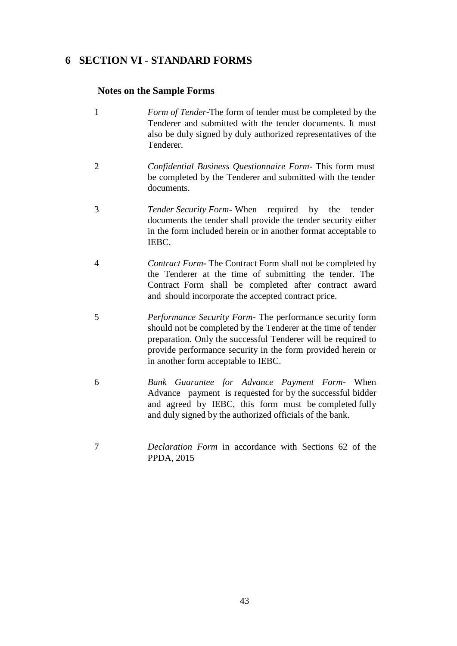# <span id="page-42-0"></span>**6 SECTION VI - STANDARD FORMS**

#### **Notes on the Sample Forms**

- 1 *Form of Tender***-**The form of tender must be completed by the Tenderer and submitted with the tender documents. It must also be duly signed by duly authorized representatives of the Tenderer.
- 2 *Confidential Business Questionnaire Form***-** This form must be completed by the Tenderer and submitted with the tender documents.
- 3 *Tender Security Form***-** When required by the tender documents the tender shall provide the tender security either in the form included herein or in another format acceptable to IEBC.
- 4 *Contract Form***-** The Contract Form shall not be completed by the Tenderer at the time of submitting the tender. The Contract Form shall be completed after contract award and should incorporate the accepted contract price.
- 5 *Performance Security Form***-** The performance security form should not be completed by the Tenderer at the time of tender preparation. Only the successful Tenderer will be required to provide performance security in the form provided herein or in another form acceptable to IEBC.
- 6 *Bank Guarantee for Advance Payment Form***-** When Advance payment is requested for by the successful bidder and agreed by IEBC, this form must be completed fully and duly signed by the authorized officials of the bank.
- 7 *Declaration Form* in accordance with Sections 62 of the PPDA, 2015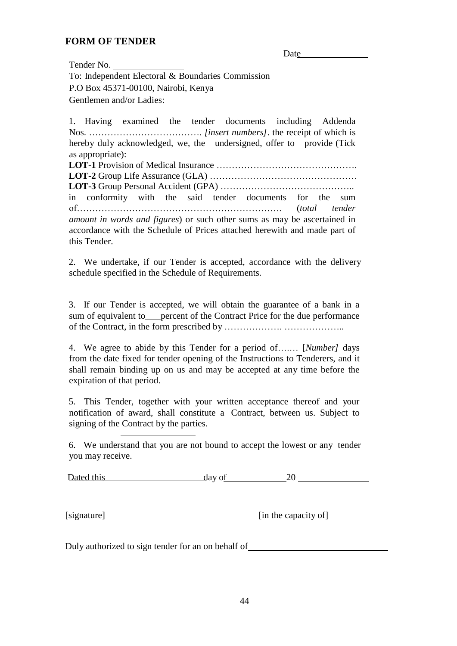### **FORM OF TENDER**

Date and the same state of the state of the state of the state of the state of the state of the state of the state of the state of the state of the state of the state of the state of the state of the state of the state of

Tender No. To: Independent Electoral & Boundaries Commission P.O Box 45371-00100, Nairobi, Kenya Gentlemen and/or Ladies:

1. Having examined the tender documents including Addenda Nos. ………………………………. *[insert numbers].* the receipt of which is hereby duly acknowledged, we, the undersigned, offer to provide (Tick as appropriate): **LOT-1** Provision of Medical Insurance ………………………………………. **LOT-2** Group Life Assurance (GLA) ………………………………………… **LOT-3** Group Personal Accident (GPA) ……………………………………..

in conformity with the said tender documents for the sum of…………………………………………………………. (*total tender amount in words and figures*) or such other sums as may be ascertained in accordance with the Schedule of Prices attached herewith and made part of this Tender.

2. We undertake, if our Tender is accepted, accordance with the delivery schedule specified in the Schedule of Requirements.

3. If our Tender is accepted, we will obtain the guarantee of a bank in a sum of equivalent to percent of the Contract Price for the due performance of the Contract, in the form prescribed by ………………. ……………….*.*

4. We agree to abide by this Tender for a period of….… [*Number]* days from the date fixed for tender opening of the Instructions to Tenderers, and it shall remain binding up on us and may be accepted at any time before the expiration of that period.

5. This Tender, together with your written acceptance thereof and your notification of award, shall constitute a Contract, between us. Subject to signing of the Contract by the parties.

6. We understand that you are not bound to accept the lowest or any tender you may receive.

Dated this day of 20 20

[signature] [in the capacity of]

Duly authorized to sign tender for an on behalf of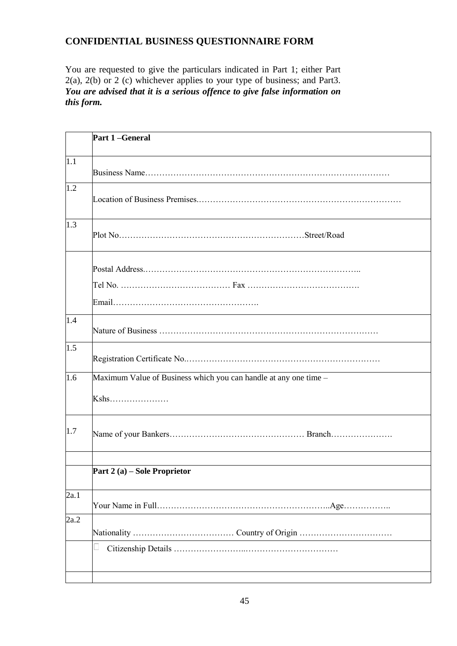# **CONFIDENTIAL BUSINESS QUESTIONNAIRE FORM**

You are requested to give the particulars indicated in Part 1; either Part 2(a), 2(b) or 2 (c) whichever applies to your type of business; and Part3. *You are advised that it is a serious offence to give false information on this form.*

|      | Part 1-General                                                             |
|------|----------------------------------------------------------------------------|
| 1.1  |                                                                            |
| 1.2  |                                                                            |
| 1.3  |                                                                            |
|      |                                                                            |
| 1.4  |                                                                            |
| 1.5  |                                                                            |
| 1.6  | Maximum Value of Business which you can handle at any one time -<br>$Kshs$ |
| 1.7  |                                                                            |
|      | Part $2(a)$ – Sole Proprietor                                              |
| 2a.1 |                                                                            |
| 2a.2 |                                                                            |
|      | L                                                                          |
|      |                                                                            |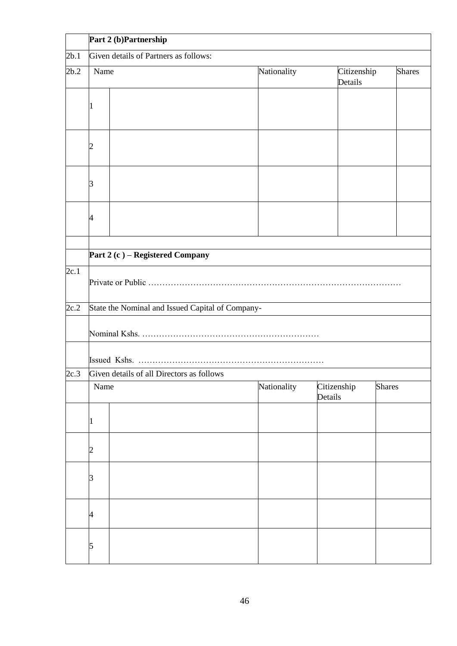|      | Part 2 (b)Partnership                     |                                                  |             |                        |               |  |
|------|-------------------------------------------|--------------------------------------------------|-------------|------------------------|---------------|--|
| 2b.1 | Given details of Partners as follows:     |                                                  |             |                        |               |  |
| 2b.2 | Name                                      |                                                  | Nationality | Citizenship<br>Details | <b>Shares</b> |  |
|      | 1                                         |                                                  |             |                        |               |  |
|      |                                           |                                                  |             |                        |               |  |
|      | ß                                         |                                                  |             |                        |               |  |
|      | 4                                         |                                                  |             |                        |               |  |
|      |                                           | Part 2 (c) – Registered Company                  |             |                        |               |  |
| 2c.1 |                                           |                                                  |             |                        |               |  |
| 2c.2 |                                           | State the Nominal and Issued Capital of Company- |             |                        |               |  |
|      |                                           |                                                  |             |                        |               |  |
|      |                                           |                                                  |             |                        |               |  |
| 2c.3 | Given details of all Directors as follows |                                                  |             |                        |               |  |
|      | Name                                      |                                                  | Nationality | Citizenship<br>Details | <b>Shares</b> |  |
|      | 1                                         |                                                  |             |                        |               |  |
|      | $\overline{c}$                            |                                                  |             |                        |               |  |
|      | з                                         |                                                  |             |                        |               |  |
|      | 4                                         |                                                  |             |                        |               |  |
|      | 5                                         |                                                  |             |                        |               |  |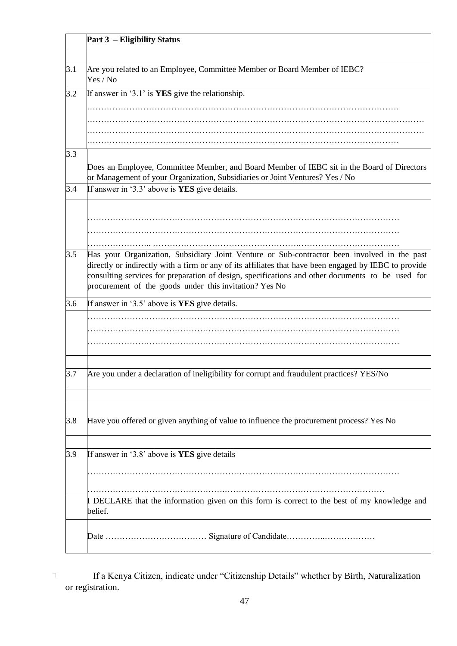|     | <b>Part 3 – Eligibility Status</b>                                                                                                                                         |
|-----|----------------------------------------------------------------------------------------------------------------------------------------------------------------------------|
| 3.1 | Are you related to an Employee, Committee Member or Board Member of IEBC?<br>Yes / No                                                                                      |
| 3.2 | If answer in '3.1' is YES give the relationship.                                                                                                                           |
|     |                                                                                                                                                                            |
|     |                                                                                                                                                                            |
| 3.3 |                                                                                                                                                                            |
|     | Does an Employee, Committee Member, and Board Member of IEBC sit in the Board of Directors<br>or Management of your Organization, Subsidiaries or Joint Ventures? Yes / No |
| 3.4 | If answer in '3.3' above is YES give details.                                                                                                                              |
|     |                                                                                                                                                                            |
|     |                                                                                                                                                                            |
|     |                                                                                                                                                                            |
| 3.5 | Has your Organization, Subsidiary Joint Venture or Sub-contractor been involved in the past                                                                                |
|     | directly or indirectly with a firm or any of its affiliates that have been engaged by IEBC to provide                                                                      |
|     | consulting services for preparation of design, specifications and other documents to be used for                                                                           |
|     | procurement of the goods under this invitation? Yes No                                                                                                                     |
| 3.6 | If answer in '3.5' above is <b>YES</b> give details.                                                                                                                       |
|     |                                                                                                                                                                            |
|     |                                                                                                                                                                            |
|     |                                                                                                                                                                            |
|     |                                                                                                                                                                            |
| 3.7 | Are you under a declaration of ineligibility for corrupt and fraudulent practices? YES/No                                                                                  |
|     |                                                                                                                                                                            |
| 3.8 | Have you offered or given anything of value to influence the procurement process? Yes No                                                                                   |
|     |                                                                                                                                                                            |
| 3.9 | If answer in '3.8' above is YES give details                                                                                                                               |
|     |                                                                                                                                                                            |
|     |                                                                                                                                                                            |
|     | I DECLARE that the information given on this form is correct to the best of my knowledge and<br>belief.                                                                    |
|     |                                                                                                                                                                            |

 $\top$ If a Kenya Citizen, indicate under "Citizenship Details" whether by Birth, Naturalization or registration.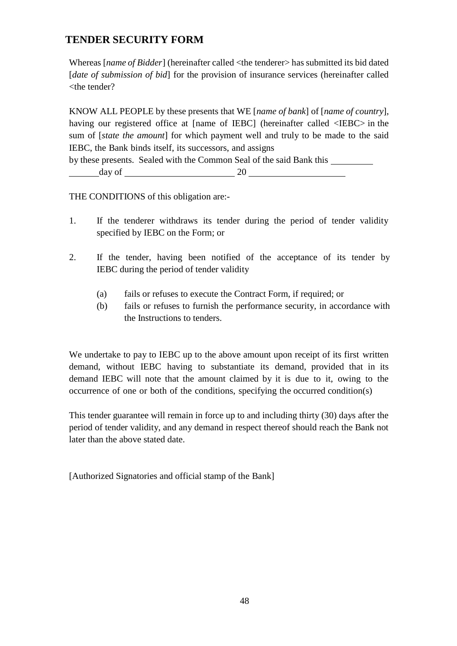# **TENDER SECURITY FORM**

Whereas [*name of Bidder*] (hereinafter called <the tenderer> has submitted its bid dated [*date of submission of bid*] for the provision of insurance services (hereinafter called  $the tendency?$ 

KNOW ALL PEOPLE by these presents that WE [*name of bank*] of [*name of country*], having our registered office at [name of IEBC] (hereinafter called  $\langle$ IEBC $>$  in the sum of [*state the amount*] for which payment well and truly to be made to the said IEBC, the Bank binds itself, its successors, and assigns

by these presents. Sealed with the Common Seal of the said Bank this

day of 20

THE CONDITIONS of this obligation are:-

- 1. If the tenderer withdraws its tender during the period of tender validity specified by IEBC on the Form; or
- 2. If the tender, having been notified of the acceptance of its tender by IEBC during the period of tender validity
	- (a) fails or refuses to execute the Contract Form, if required; or
	- (b) fails or refuses to furnish the performance security, in accordance with the Instructions to tenders.

We undertake to pay to IEBC up to the above amount upon receipt of its first written demand, without IEBC having to substantiate its demand, provided that in its demand IEBC will note that the amount claimed by it is due to it, owing to the occurrence of one or both of the conditions, specifying the occurred condition(s)

This tender guarantee will remain in force up to and including thirty (30) days after the period of tender validity, and any demand in respect thereof should reach the Bank not later than the above stated date.

[Authorized Signatories and official stamp of the Bank]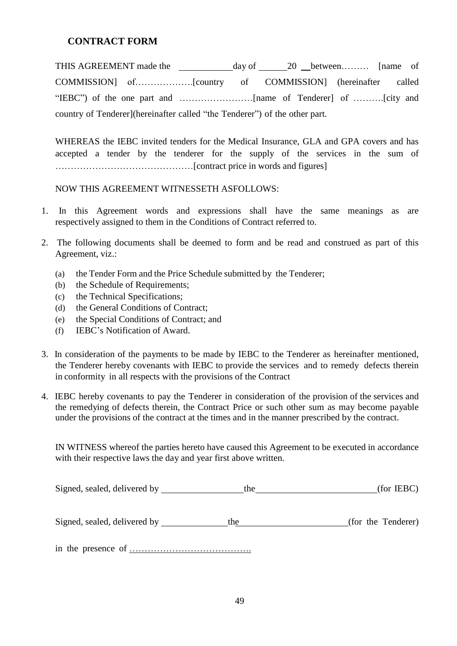### **CONTRACT FORM**

THIS AGREEMENT made the day of 20 between......... [name of COMMISSION] of……………….[country of COMMISSION] (hereinafter called "IEBC") of the one part and ……………………[name of Tenderer] of ……….[city and country of Tenderer](hereinafter called "the Tenderer") of the other part.

WHEREAS the IEBC invited tenders for the Medical Insurance, GLA and GPA covers and has accepted a tender by the tenderer for the supply of the services in the sum of ………………………………………[contract price in words and figures]

NOW THIS AGREEMENT WITNESSETH ASFOLLOWS:

- 1. In this Agreement words and expressions shall have the same meanings as are respectively assigned to them in the Conditions of Contract referred to.
- 2. The following documents shall be deemed to form and be read and construed as part of this Agreement, viz.:
	- (a) the Tender Form and the Price Schedule submitted by the Tenderer;
	- (b) the Schedule of Requirements;
	- (c) the Technical Specifications;
	- (d) the General Conditions of Contract;
	- (e) the Special Conditions of Contract; and
	- (f) IEBC's Notification of Award.
- 3. In consideration of the payments to be made by IEBC to the Tenderer as hereinafter mentioned, the Tenderer hereby covenants with IEBC to provide the services and to remedy defects therein in conformity in all respects with the provisions of the Contract
- 4. IEBC hereby covenants to pay the Tenderer in consideration of the provision of the services and the remedying of defects therein, the Contract Price or such other sum as may become payable under the provisions of the contract at the times and in the manner prescribed by the contract.

IN WITNESS whereof the parties hereto have caused this Agreement to be executed in accordance with their respective laws the day and year first above written.

| Signed, sealed, delivered by        | the | (for <b>IEBC</b> ) |
|-------------------------------------|-----|--------------------|
| Signed, sealed, delivered by ______ | the | (for the Tenderer) |
|                                     |     |                    |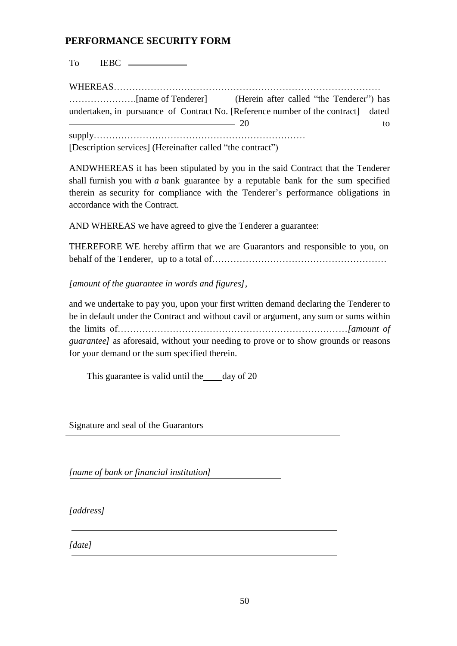### **PERFORMANCE SECURITY FORM**

To IEBC

WHEREAS…………………………………………………………………………… ………………….[name of Tenderer] (Herein after called "the Tenderer") has undertaken, in pursuance of Contract No. [Reference number of the contract] dated 20 to supply…………………………………………………………… [Description services] (Hereinafter called "the contract")

ANDWHEREAS it has been stipulated by you in the said Contract that the Tenderer shall furnish you with *a* bank guarantee by a reputable bank for the sum specified therein as security for compliance with the Tenderer's performance obligations in accordance with the Contract.

AND WHEREAS we have agreed to give the Tenderer a guarantee:

THEREFORE WE hereby affirm that we are Guarantors and responsible to you, on behalf of the Tenderer, up to a total of…………………………………………………

*[amount of the guarantee in words and figures],*

and we undertake to pay you, upon your first written demand declaring the Tenderer to be in default under the Contract and without cavil or argument, any sum or sums within the limits of…………………………………………………………………*[amount of guarantee]* as aforesaid, without your needing to prove or to show grounds or reasons for your demand or the sum specified therein.

This guarantee is valid until the day of 20

Signature and seal of the Guarantors

*[name of bank or financial institution]*

*[address]*

*[date]*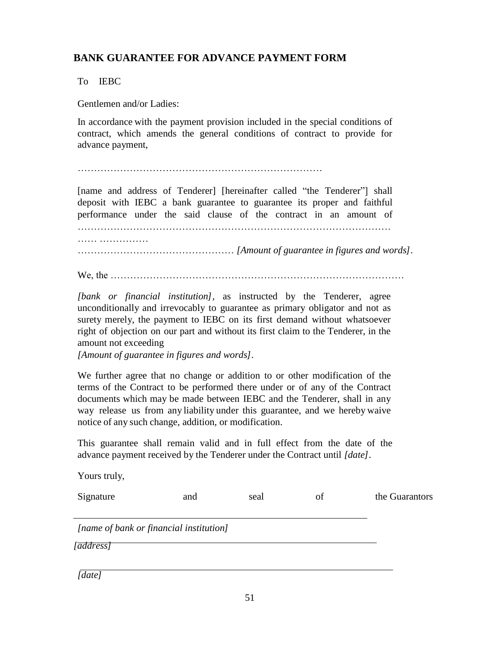# **BANK GUARANTEE FOR ADVANCE PAYMENT FORM**

To IEBC

Yours truly,

Gentlemen and/or Ladies:

In accordance with the payment provision included in the special conditions of contract, which amends the general conditions of contract to provide for advance payment,

[name and address of Tenderer] [hereinafter called "the Tenderer"] shall deposit with IEBC a bank guarantee to guarantee its proper and faithful performance under the said clause of the contract in an amount of …………………………………………………………………………………… …… …………… ………………………………………… *[Amount of guarantee in figures and words].*

We, the ………………………………………………………………………………

*[bank or financial institution],* as instructed by the Tenderer, agree unconditionally and irrevocably to guarantee as primary obligator and not as surety merely, the payment to IEBC on its first demand without whatsoever right of objection on our part and without its first claim to the Tenderer, in the amount not exceeding

*[Amount of guarantee in figures and words].*

We further agree that no change or addition to or other modification of the terms of the Contract to be performed there under or of any of the Contract documents which may be made between IEBC and the Tenderer, shall in any way release us from any liability under this guarantee, and we hereby waive notice of any such change, addition, or modification.

This guarantee shall remain valid and in full effect from the date of the advance payment received by the Tenderer under the Contract until *[date].*

| Signature                                                          | and | seal | of | the Guarantors |
|--------------------------------------------------------------------|-----|------|----|----------------|
| [name of bank or financial institution]<br><i><b>[address]</b></i> |     |      |    |                |
| [date]                                                             |     |      |    |                |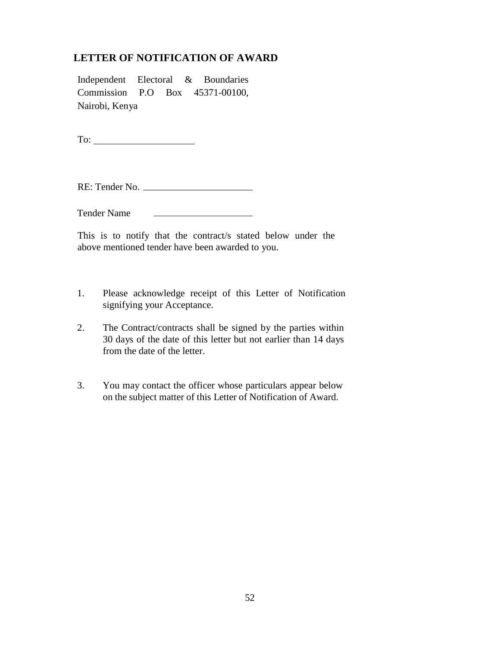# **LETTER OF NOTIFICATION OF AWARD**

Independent Electoral & Boundaries Commission P.O Box 45371-00100, Nairobi, Kenya

To:

RE: Tender No.

Tender Name

This is to notify that the contract/s stated below under the above mentioned tender have been awarded to you.

- 1. Please acknowledge receipt of this Letter of Notification signifying your Acceptance.
- 2. The Contract/contracts shall be signed by the parties within 30 days of the date of this letter but not earlier than 14 days from the date of the letter.
- 3. You may contact the officer whose particulars appear below on the subject matter of this Letter of Notification of Award.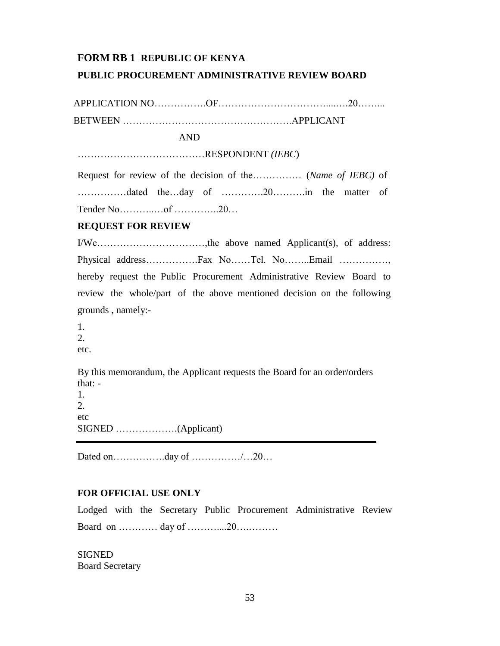#### **FORM RB 1 REPUBLIC OF KENYA**

#### **PUBLIC PROCUREMENT ADMINISTRATIVE REVIEW BOARD**

APPLICATION NO……………OF………………………………………20……… BETWEEN …………………………………………….APPLICANT

AND

…………………………………RESPONDENT *(IEBC*)

Request for review of the decision of the…………… (*Name of IEBC)* of ……………dated the…day of ………….20……….in the matter of Tender No………..…of …………..20…

#### **REQUEST FOR REVIEW**

I/We……………………………,the above named Applicant(s), of address: Physical address…………….Fax No……Tel. No……..Email ……………, hereby request the Public Procurement Administrative Review Board to review the whole/part of the above mentioned decision on the following grounds , namely:-

1. 2. etc.

By this memorandum, the Applicant requests the Board for an order/orders that: - 1.

2. etc SIGNED ……………….(Applicant)

Dated on…………….day of ……………/…20…

#### **FOR OFFICIAL USE ONLY**

Lodged with the Secretary Public Procurement Administrative Review Board on ………… day of ………....20….………

**SIGNED** Board Secretary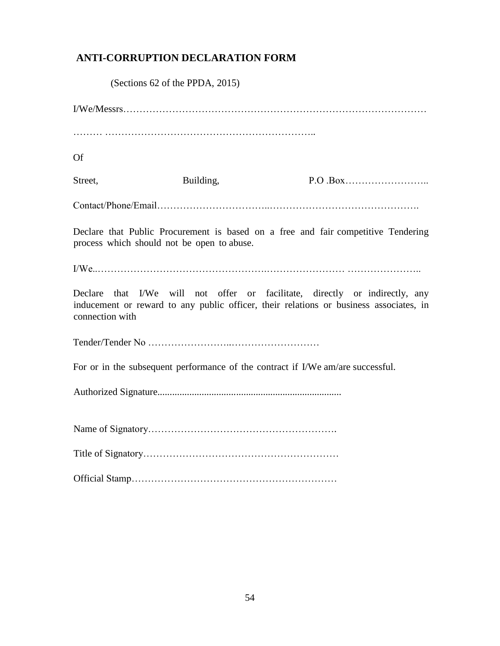# **ANTI-CORRUPTION DECLARATION FORM**

(Sections 62 of the PPDA, 2015)

I/We/Messrs………………………………………………………………………………… ……… ……………………………………………………….. Of Street, Building, P.O .Box…………………….. Contact/Phone/Email……………………………..………………………………………. Declare that Public Procurement is based on a free and fair competitive Tendering process which should not be open to abuse. I/We..…………………………………………….…………………… ………………….. Declare that I/We will not offer or facilitate, directly or indirectly, any inducement or reward to any public officer, their relations or business associates, in connection with Tender/Tender No ……………………..……………………… For or in the subsequent performance of the contract if I/We am/are successful. Authorized Signature........................................................................... Name of Signatory…………………………………………………. Title of Signatory…………………………………………………… Official Stamp………………………………………………………